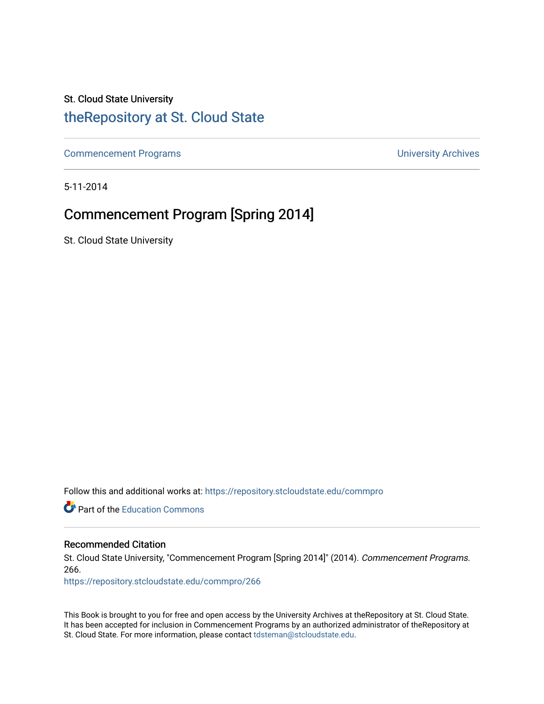### St. Cloud State University

### [theRepository at St. Cloud State](https://repository.stcloudstate.edu/)

[Commencement Programs](https://repository.stcloudstate.edu/commpro) **Commencement Programs University Archives** 

5-11-2014

## Commencement Program [Spring 2014]

St. Cloud State University

Follow this and additional works at: [https://repository.stcloudstate.edu/commpro](https://repository.stcloudstate.edu/commpro?utm_source=repository.stcloudstate.edu%2Fcommpro%2F266&utm_medium=PDF&utm_campaign=PDFCoverPages) 

**C** Part of the [Education Commons](http://network.bepress.com/hgg/discipline/784?utm_source=repository.stcloudstate.edu%2Fcommpro%2F266&utm_medium=PDF&utm_campaign=PDFCoverPages)

#### Recommended Citation

St. Cloud State University, "Commencement Program [Spring 2014]" (2014). Commencement Programs. 266.

[https://repository.stcloudstate.edu/commpro/266](https://repository.stcloudstate.edu/commpro/266?utm_source=repository.stcloudstate.edu%2Fcommpro%2F266&utm_medium=PDF&utm_campaign=PDFCoverPages) 

This Book is brought to you for free and open access by the University Archives at theRepository at St. Cloud State. It has been accepted for inclusion in Commencement Programs by an authorized administrator of theRepository at St. Cloud State. For more information, please contact [tdsteman@stcloudstate.edu.](mailto:tdsteman@stcloudstate.edu)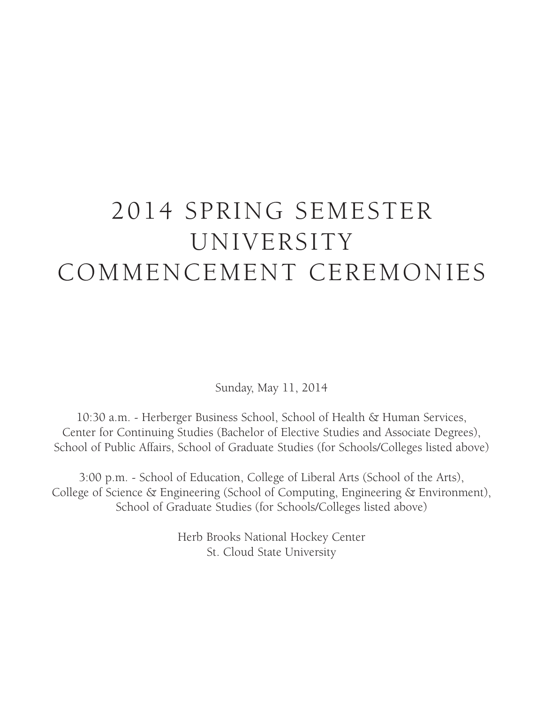# 2014 SPRING SEMESTER UNIVERSITY COMMENCEMENT CEREMONIES

Sunday, May 11, 2014

10:30 a.m. - Herberger Business School, School of Health & Human Services, Center for Continuing Studies (Bachelor of Elective Studies and Associate Degrees), School of Public Affairs, School of Graduate Studies (for Schools/Colleges listed above)

3:00 p.m. - School of Education, College of Liberal Arts (School of the Arts), College of Science & Engineering (School of Computing, Engineering & Environment), School of Graduate Studies (for Schools/Colleges listed above)

> Herb Brooks National Hockey Center St. Cloud State University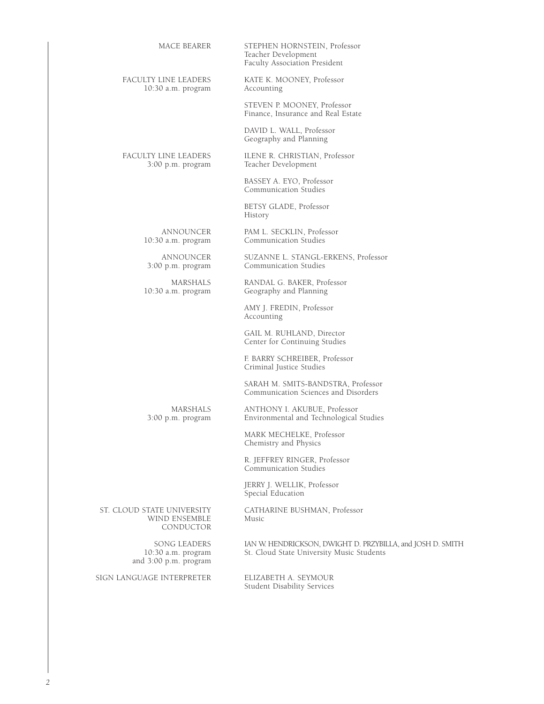| MACE BEARER                                | STEPHEN HORNSTEIN, Professor<br>Teacher Development<br>Faculty Association President |
|--------------------------------------------|--------------------------------------------------------------------------------------|
| FACULTY LINE LEADERS<br>10:30 a.m. program | KATE K. MOONEY, Professor<br>Accounting                                              |
|                                            | STEVEN P. MOONEY, Professor<br>Finance, Insurance and Real Estate                    |
|                                            | DAVID L. WALL, Professor<br>Geography and Planning                                   |
| FACULTY LINE LEADERS<br>3:00 p.m. program  | ILENE R. CHRISTIAN, Professor<br>Teacher Development                                 |
|                                            | BASSEY A. EYO, Professor<br>Communication Studies                                    |
|                                            | BETSY GLADE, Professor<br>History                                                    |
| <b>ANNOUNCER</b><br>10:30 a.m. program     | PAM L. SECKLIN, Professor<br>Communication Studies                                   |
| ANNOUNCER<br>$3:00$ p.m. program           | SUZANNE L. STANGL-ERKENS, Professor<br>Communication Studies                         |
| MARSHALS<br>10:30 a.m. program             | RANDAL G. BAKER, Professor<br>Geography and Planning                                 |
|                                            | AMY J. FREDIN, Professor<br>Accounting                                               |
|                                            | GAIL M. RUHLAND, Director<br>Center for Continuing Studies                           |
|                                            | F. BARRY SCHREIBER, Professor<br>Criminal Justice Studies                            |
|                                            | SARAH M. SMITS-BANDSTRA, Professor<br>Communication Sciences and Disorders           |
| MARSHALS<br>3:00 p.m. program              | ANTHONY I. AKUBUE, Professor<br>Environmental and Technological Studies              |
|                                            | MARK MECHELKE, Professor<br>Chemistry and Physics                                    |
|                                            |                                                                                      |

R. JEFFREY RINGER, Professor Communication Studies

JERRY J. WELLIK, Professor Special Education

ST. CLOUD STATE UNIVERSITY CATHARINE BUSHMAN, Professor WIND ENSEMBLE Music WIND ENSEMBLE CONDUCTOR

 $10:30$  a.m. program<br>and  $3:00$  p.m. program

SIGN LANGUAGE INTERPRETER ELIZABETH A. SEYMOUR

SONG LEADERS IAN W. HENDRICKSON, DWIGHT D. PRZYBILLA, and JOSH D. SMITH St. Cloud State University Music Students

Student Disability Services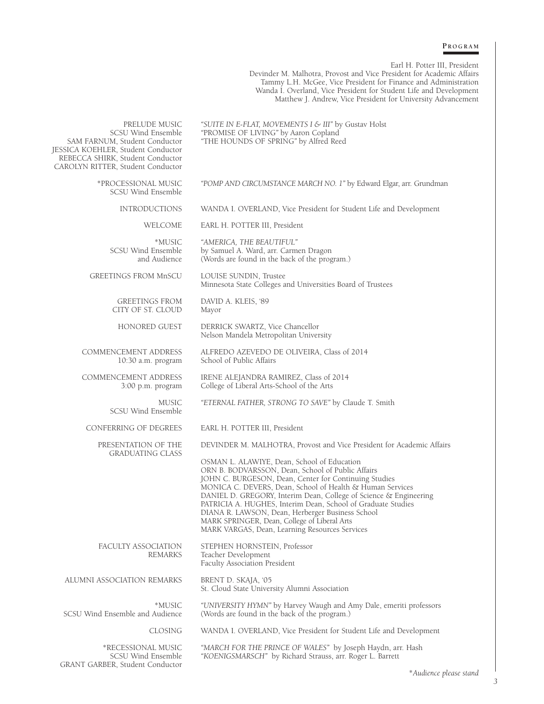#### **P r o g r a m**

Earl H. Potter III, President

Devinder M. Malhotra, Provost and Vice President for Academic Affairs Tammy L.H. McGee, Vice President for Finance and Administration Wanda I. Overland, Vice President for Student Life and Development Matthew J. Andrew, Vice President for University Advancement

PRELUDE MUSIC *"SUITE IN E-FLAT, MOVEMENTS I & III"* by Gustav Holst SCSU Wind Ensemble *"PROMISE OF LIVING"* by Aaron Copland SCSU Wind Ensemble *"*PROMISE OF LIVING*"* by Aaron Copland SAM FARNUM, Student Conductor *"*THE HOUNDS OF SPRING*"* by Alfred Reed JESSICA KOEHLER, Student Conductor REBECCA SHIRK, Student Conductor CAROLYN RITTER, Student Conductor \*Processional Music *"POMP AND CIRCUMSTANCE MARCH NO. 1"* by Edward Elgar, arr. Grundman SCSU Wind Ensemble INTRODUCTIONS WANDA I. OVERLAND, Vice President for Student Life and Development WELCOME EARL H. POTTER III, President \*MUSIC *"AMERICA, THE BEAUTIFUL"* Find Ensemble by Samuel A. Ward, arr. Carmen Dragon<br>and Audience (Words are found in the back of the prog (Words are found in the back of the program.) GREETINGS FROM MnSCU LOUISE SUNDIN, Trustee Minnesota State Colleges and Universities Board of Trustees GREETINGS FROM DAVID A. KLEIS, '89 CITY OF ST. CLOUD Mayor HONORED GUEST DERRICK SWARTZ, Vice Chancellor Nelson Mandela Metropolitan University COMMENCEMENT ADDRESS ALFREDO AZEVEDO DE OLIVEIRA, Class of 2014 10:30 a.m. program School of Public Affairs COMMENCEMENT ADDRESS IRENE ALEJANDRA RAMIREZ, Class of 2014 3:00 p.m. program College of Liberal Arts-School of the Arts MUSIC *"ETERNAL FATHER, STRONG TO SAVE"* by Claude T. Smith SCSU Wind Ensemble CONFERRING OF DEGREES EARL H. POTTER III, President PRESENTATION OF THE DEVINDER M. MALHOTRA, Provost and Vice President for Academic Affairs GRADUATING CLASS OSMAN L. ALAWIYE, Dean, School of Education ORN B. BODVARSSON, Dean, School of Public Affairs JOHN C. BURGESON, Dean, Center for Continuing Studies MONICA C. DEVERS, Dean, School of Health & Human Services DANIEL D. GREGORY, Interim Dean, College of Science & Engineering PATRICIA A. HUGHES, Interim Dean, School of Graduate Studies DIANA R. LAWSON, Dean, Herberger Business School MARK SPRINGER, Dean, College of Liberal Arts MARK VARGAS, Dean, Learning Resources Services FACULTY ASSOCIATION STEPHEN HORNSTEIN, Professor<br>REMARKS Teacher Development Teacher Development Faculty Association President ALUMNI ASSOCIATION REMARKS BRENT D. SKAJA, '05 St. Cloud State University Alumni Association \*MUSIC *"UNIVERSITY HYMN"* by Harvey Waugh and Amy Dale, emeriti professors (Words are found in the back of the program.) CLOSING WANDA I. OVERLAND, Vice President for Student Life and Development \*RECESSIONAL MUSIC *"MARCH FOR THE PRINCE OF WALES"* by Joseph Haydn, arr. Hash "KOENIGSMARSCH" by Richard Strauss, arr. Roger L. Barrett GRANT GARBER, Student Conductor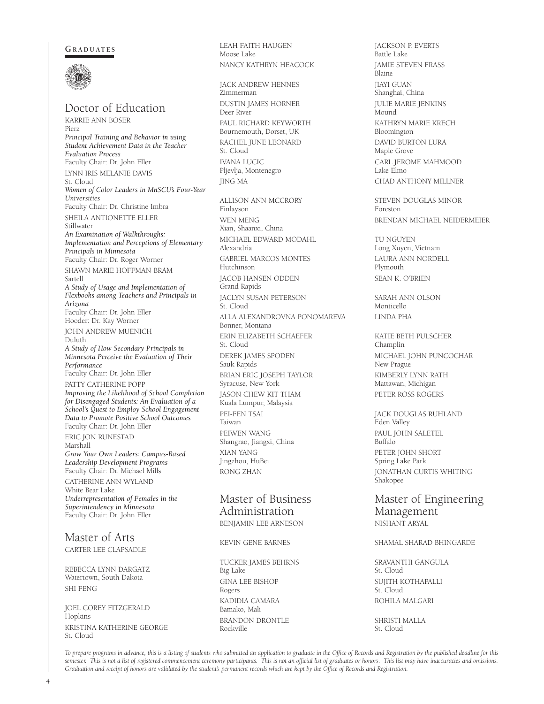#### GRADUATES



Doctor of Education KARRIE ANN BOSER Pierz *Principal Training and Behavior in using Student Achievement Data in the Teacher Evaluation Process* Faculty Chair: Dr. John Eller LYNN IRIS MELANIE DAVIS St. Cloud *Women of Color Leaders in MnSCU's Four-Year Universities* Faculty Chair: Dr. Christine Imbra SHEILA ANTIONETTE ELLER Stillwater *An Examination of Walkthroughs: Implementation and Perceptions of Elementary Principals in Minnesota* Faculty Chair: Dr. Roger Worner SHAWN MARIE HOFFMAN-BRAM Sartell *A Study of Usage and Implementation of Flexbooks among Teachers and Principals in Arizona* Faculty Chair: Dr. John Eller Hooder: Dr. Kay Worner JOHN ANDREW MUENICH Duluth *A Study of How Secondary Principals in Minnesota Perceive the Evaluation of Their Performance* Faculty Chair: Dr. John Eller PATTY CATHERINE POPP *Improving the Likelihood of School Completion for Disengaged Students: An Evaluation of a School's Quest to Employ School Engagement Data to Promote Positive School Outcomes* Faculty Chair: Dr. John Eller ERIC JON RUNESTAD Marshall *Grow Your Own Leaders: Campus-Based Leadership Development Programs* Faculty Chair: Dr. Michael Mills CATHERINE ANN WYLAND White Bear Lake *Underrepresentation of Females in the Superintendency in Minnesota* Faculty Chair: Dr. John Eller

#### Master of Arts CARTER LEE CLAPSADLE

REBECCA LYNN DARGATZ Watertown, South Dakota SHI FENG

JOEL COREY FITZGERALD Hopkins KRISTINA KATHERINE GEORGE St. Cloud

Moose Lake NANCY KATHRYN HEACOCK JACK ANDREW HENNES Zimmerman DUSTIN JAMES HORNER Deer River PAUL RICHARD KEYWORTH Bournemouth, Dorset, UK RACHEL JUNE LEONARD St. Cloud IVANA LUCIC Pljevlja, Montenegro JING MA ALLISON ANN MCCRORY Finlayson WEN MENG Xian, Shaanxi, China MICHAEL EDWARD MODAHL Alexandria GABRIEL MARCOS MONTES Hutchinson JACOB HANSEN ODDEN Grand Rapids JACLYN SUSAN PETERSON St. Cloud ALLA ALEXANDROVNA PONOMAREVA Bonner, Montana ERIN ELIZABETH SCHAEFER St. Cloud DEREK JAMES SPODEN Sauk Rapids BRIAN ERIC JOSEPH TAYLOR Syracuse, New York JASON CHEW KIT THAM Kuala Lumpur, Malaysia PEI-FEN TSAI Taiwan

LEAH FAITH HAUGEN

PEIWEN WANG Shangrao, Jiangxi, China XIAN YANG Jingzhou, HuBei RONG ZHAN

#### Master of Business Administration BENJAMIN LEE ARNESON

KEVIN GENE BARNES

TUCKER JAMES BEHRNS Big Lake GINA LEE BISHOP Rogers KADIDIA CAMARA Bamako, Mali BRANDON DRONTLE Rockville

JACKSON P. EVERTS Battle Lake JAMIE STEVEN FRASS Blaine JIAYI GUAN Shanghai, China JULIE MARIE JENKINS Mound KATHRYN MARIE KRECH Bloomington DAVID BURTON LURA Maple Grove CARL JEROME MAHMOOD Lake Elmo CHAD ANTHONY MILLNER

STEVEN DOUGLAS MINOR Foreston BRENDAN MICHAEL NEIDERMEIER

TU NGUYEN Long Xuyen, Vietnam LAURA ANN NORDELL Plymouth SEAN K. O'BRIEN

SARAH ANN OLSON Monticello LINDA PHA

KATIE BETH PULSCHER Champlin MICHAEL JOHN PUNCOCHAR New Prague KIMBERLY LYNN RATH Mattawan, Michigan PETER ROSS ROGERS

JACK DOUGLAS RUHLAND Eden Valley PAUL JOHN SALETEL Buffalo PETER JOHN SHORT Spring Lake Park JONATHAN CURTIS WHITING Shakopee

Master of Engineering Management NISHANT ARYAL

#### SHAMAL SHARAD BHINGARDE

SRAVANTHI GANGULA St. Cloud SUJITH KOTHAPALLI St. Cloud ROHILA MALGARI

SHRISTI MALLA St. Cloud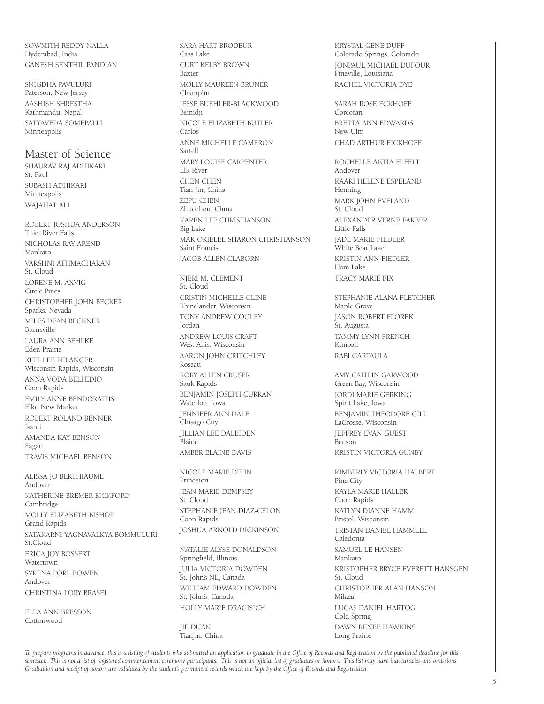SOWMITH REDDY NALLA Hyderabad, India GANESH SENTHIL PANDIAN

SNIGDHA PAVULURI Paterson, New Jersey AASHISH SHRESTHA Kathmandu, Nepal SATYAVEDA SOMEPALLI Minneapolis

#### Master of Science

SHAURAV RAJ ADHIKARI St. Paul SUBASH ADHIKARI Minneapolis WAJAHAT ALI

ROBERT JOSHUA ANDERSON Thief River Falls NICHOLAS RAY AREND Mankato VARSHNI ATHMACHARAN St. Cloud LORENE M. AXVIG Circle Pines CHRISTOPHER JOHN BECKER Sparks, Nevada MILES DEAN BECKNER Burnsville LAURA ANN BEHLKE Eden Prairie KITT LEE BELANGER Wisconsin Rapids, Wisconsin ANNA VODA BELPEDIO Coon Rapids EMILY ANNE BENDORAITIS Elko New Market ROBERT ROLAND BENNER

Isanti AMANDA KAY BENSON Eagan TRAVIS MICHAEL BENSON

ALISSA JO BERTHIAUME Andover KATHERINE BREMER BICKFORD Cambridge MOLLY ELIZABETH BISHOP Grand Rapids SATAKARNI YAGNAVALKYA BOMMULURI St.Cloud ERICA JOY BOSSERT Watertown SYRENA L'ORL BOWEN Andover CHRISTINA LORY BRASEL

ELLA ANN BRESSON Cottonwood

SARA HART BRODEUR Cass Lake CURT KELBY BROWN Baxter MOLLY MAUREEN BRUNER Champlin JESSE BUEHLER-BLACKWOOD Bemidji NICOLE ELIZABETH BUTLER Carlos ANNE MICHELLE CAMERON Sartell MARY LOUISE CARPENTER Elk River CHEN CHEN Tian Jin, China ZEPU CHEN Zhuozhou, China KAREN LEE CHRISTIANSON Big Lake MARJORIELEE SHARON CHRISTIANSON Saint Francis JACOB ALLEN CLABORN NJERI M. CLEMENT

St. Cloud CRISTIN MICHELLE CLINE Rhinelander, Wisconsin TONY ANDREW COOLEY Jordan ANDREW LOUIS CRAFT West Allis, Wisconsin AARON JOHN CRITCHLEY Roseau RORY ALLEN CRUSER Sauk Rapids BENJAMIN JOSEPH CURRAN Waterloo, Iowa JENNIFER ANN DALE Chisago City JILLIAN LEE DALEIDEN Blaine AMBER ELAINE DAVIS

NICOLE MARIE DEHN Princeton JEAN MARIE DEMPSEY St. Cloud STEPHANIE JEAN DIAZ-CELON Coon Rapids JOSHUA ARNOLD DICKINSON

NATALIE ALYSE DONALDSON Springfield, Illinois JULIA VICTORIA DOWDEN St. John's NL, Canada WILLIAM EDWARD DOWDEN St. John's, Canada HOLLY MARIE DRAGISICH

JIE DUAN Tianjin, China

KRYSTAL GENE DUFF Colorado Springs, Colorado JONPAUL MICHAEL DUFOUR Pineville, Louisiana RACHEL VICTORIA DYE

SARAH ROSE ECKHOFF Corcoran BRETTA ANN EDWARDS New Ulm CHAD ARTHUR EICKHOFF

ROCHELLE ANITA ELFELT Andover KAARI HELENE ESPELAND Henning MARK JOHN EVELAND St. Cloud ALEXANDER VERNE FARBER Little Falls JADE MARIE FIEDLER White Bear Lake KRISTIN ANN FIEDLER Ham Lake TRACY MARIE FIX

STEPHANIE ALANA FLETCHER Maple Grove JASON ROBERT FLOREK St. Augusta TAMMY LYNN FRENCH Kimball RABI GARTAULA

AMY CAITLIN GARWOOD Green Bay, Wisconsin JORDI MARIE GERKING Spirit Lake, Iowa BENJAMIN THEODORE GILL LaCrosse, Wisconsin JEFFREY EVAN GUEST Benson KRISTIN VICTORIA GUNBY

KIMBERLY VICTORIA HALBERT Pine City KAYLA MARIE HALLER Coon Rapids KATLYN DIANNE HAMM Bristol, Wisconsin TRISTAN DANIEL HAMMELL Caledonia SAMUEL LE HANSEN Mankato KRISTOPHER BRYCE EVERETT HANSGEN St. Cloud CHRISTOPHER ALAN HANSON Milaca LUCAS DANIEL HARTOG Cold Spring DAWN RENEE HAWKINS Long Prairie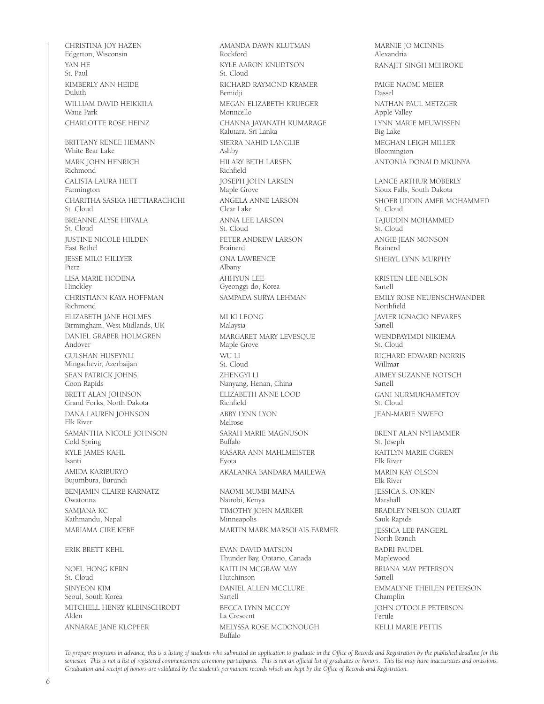CHRISTINA JOY HAZEN Edgerton, Wisconsin YAN HE St. Paul KIMBERLY ANN HEIDE Duluth WILLIAM DAVID HEIKKILA Waite Park CHARLOTTE ROSE HEINZ BRITTANY RENEE HEMANN White Bear Lake MARK JOHN HENRICH Richmond CALISTA LAURA HETT Farmington CHARITHA SASIKA HETTIARACHCHI St. Cloud BREANNE ALYSE HIIVALA St. Cloud JUSTINE NICOLE HILDEN East Bethel JESSE MILO HILLYER Pierz LISA MARIE HODENA Hinckley CHRISTIANN KAYA HOFFMAN Richmond ELIZABETH JANE HOLMES Birmingham, West Midlands, UK DANIEL GRABER HOLMGREN Andover GULSHAN HUSEYNLI Mingachevir, Azerbaijan SEAN PATRICK JOHNS Coon Rapids BRETT ALAN JOHNSON Grand Forks, North Dakota DANA LAUREN JOHNSON Elk River SAMANTHA NICOLE JOHNSON Cold Spring KYLE JAMES KAHL Isanti AMIDA KARIBURYO Bujumbura, Burundi BENJAMIN CLAIRE KARNATZ Owatonna SAMJANA KC Kathmandu, Nepal MARIAMA CIRE KEBE ERIK BRETT KEHL NOEL HONG KERN St. Cloud SINYEON KIM Seoul, South Korea

MITCHELL HENRY KLEINSCHRODT

ANNARAE JANE KLOPFER

Rockford KYLE AARON KNUDTSON St. Cloud RICHARD RAYMOND KRAMER Bemidji MEGAN ELIZABETH KRUEGER Monticello CHANNA JAYANATH KUMARAGE Kalutara, Sri Lanka SIERRA NAHID LANGLIE Ashby HILARY BETH LARSEN Richfield JOSEPH JOHN LARSEN Maple Grove ANGELA ANNE LARSON Clear Lake ANNA LEE LARSON St. Cloud PETER ANDREW LARSON Brainerd ONA LAWRENCE Albany AHHYUN LEE Gyeonggi-do, Korea SAMPADA SURYA LEHMAN MI KI LEONG Malaysia MARGARET MARY LEVESQUE Maple Grove WU LI St. Cloud ZHENGYI LI Nanyang, Henan, China ELIZABETH ANNE LOOD Richfield ABBY LYNN LYON Melrose SARAH MARIE MAGNUSON Buffalo KASARA ANN MAHLMEISTER Eyota AKALANKA BANDARA MAILEWA NAOMI MUMBI MAINA Nairobi, Kenya TIMOTHY JOHN MARKER Minneapolis MARTIN MARK MARSOLAIS FARMER EVAN DAVID MATSON Thunder Bay, Ontario, Canada KAITLIN MCGRAW MAY Hutchinson DANIEL ALLEN MCCLURE Sartell BECCA LYNN MCCOY La Crescent MELYSSA ROSE MCDONOUGH Buffalo

AMANDA DAWN KLUTMAN

MARNIE JO MCINNIS Alexandria RANAJIT SINGH MEHROKE PAIGE NAOMI MEIER Dassel NATHAN PAUL METZGER Apple Valley LYNN MARIE MEUWISSEN Big Lake MEGHAN LEIGH MILLER Bloomington ANTONIA DONALD MKUNYA LANCE ARTHUR MOBERLY Sioux Falls, South Dakota SHOEB UDDIN AMER MOHAMMED St. Cloud TAJUDDIN MOHAMMED St. Cloud ANGIE JEAN MONSON Brainerd SHERYL LYNN MURPHY KRISTEN LEE NELSON Sartell EMILY ROSE NEUENSCHWANDER Northfield JAVIER IGNACIO NEVARES Sartell WENDPAYIMDI NIKIEMA St. Cloud RICHARD EDWARD NORRIS Willmar AIMEY SUZANNE NOTSCH Sartell GANI NURMUKHAMETOV St. Cloud JEAN-MARIE NWEFO BRENT ALAN NYHAMMER St. Joseph KAITLYN MARIE OGREN Elk River MARIN KAY OLSON Elk River JESSICA S. ONKEN Marshall BRADLEY NELSON OUART Sauk Rapids JESSICA LEE PANGERL North Branch BADRI PAUDEL Maplewood BRIANA MAY PETERSON Sartell EMMALYNE THEILEN PETERSON Champlin JOHN O'TOOLE PETERSON Fertile KELLI MARIE PETTIS

*To prepare programs in advance, this is a listing of students who submitted an application to graduate in the Office of Records and Registration by the published deadline for this semester. This is not a list of registered commencement ceremony participants. This is not an official list of graduates or honors. This list may have inaccuracies and omissions. Graduation and receipt of honors are validated by the student's permanent records which are kept by the Office of Records and Registration.*

Alden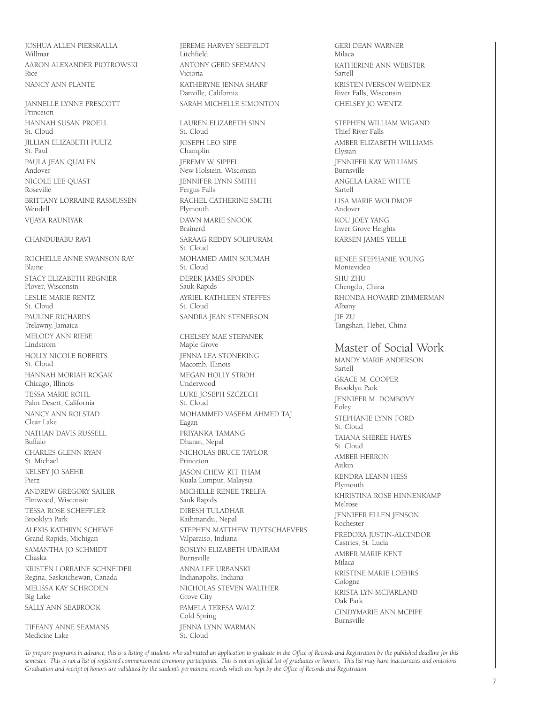JOSHUA ALLEN PIERSKALLA Willmar AARON ALEXANDER PIOTROWSKI Rice NANCY ANN PLANTE

JANNELLE LYNNE PRESCOTT Princeton HANNAH SUSAN PROELL St. Cloud JILLIAN ELIZABETH PULTZ St. Paul PAULA JEAN QUALEN Andover NICOLE LEE QUAST Roseville BRITTANY LORRAINE RASMUSSEN Wendell VIJAYA RAUNIYAR

#### CHANDUBABU RAVI

ROCHELLE ANNE SWANSON RAY Blaine STACY ELIZABETH REGNIER Plover, Wisconsin LESLIE MARIE RENTZ St. Cloud PAULINE RICHARDS Trelawny, Jamaica MELODY ANN RIEBE Lindstrom HOLLY NICOLE ROBERTS St. Cloud HANNAH MORIAH ROGAK Chicago, Illinois TESSA MARIE ROHL Palm Desert, California NANCY ANN ROLSTAD Clear Lake NATHAN DAVIS RUSSELL Buffalo CHARLES GLENN RYAN St. Michael KELSEY JO SAEHR Pierz ANDREW GREGORY SAILER Elmwood, Wisconsin TESSA ROSE SCHEFFLER Brooklyn Park ALEXIS KATHRYN SCHEWE Grand Rapids, Michigan SAMANTHA JO SCHMIDT Chaska KRISTEN LORRAINE SCHNEIDER Regina, Saskatchewan, Canada MELISSA KAY SCHRODEN Big Lake SALLY ANN SEABROOK

TIFFANY ANNE SEAMANS Medicine Lake

JEREME HARVEY SEEFELDT **Litchfield** ANTONY GERD SEEMANN Victoria KATHERYNE JENNA SHARP Danville, California SARAH MICHELLE SIMONTON

LAUREN ELIZABETH SINN St. Cloud JOSEPH LEO SIPE **Champlin** JEREMY W. SIPPEL New Holstein, Wisconsin JENNIFER LYNN SMITH Fergus Falls RACHEL CATHERINE SMITH Plymouth DAWN MARIE SNOOK Brainerd SARAAG REDDY SOLIPURAM St. Cloud MOHAMED AMIN SOUMAH St. Cloud DEREK JAMES SPODEN Sauk Rapids AYRIEL KATHLEEN STEFFES St. Cloud SANDRA JEAN STENERSON CHELSEY MAE STEPANEK Maple Grove JENNA LEA STONEKING Macomb, Illinois MEGAN HOLLY STROH Underwood LUKE JOSEPH SZCZECH St. Cloud MOHAMMED VASEEM AHMED TAJ Eagan PRIYANKA TAMANG Dharan, Nepal

NICHOLAS BRUCE TAYLOR Princeton JASON CHEW KIT THAM Kuala Lumpur, Malaysia MICHELLE RENEE TRELFA Sauk Rapids DIBESH TULADHAR Kathmandu, Nepal STEPHEN MATTHEW TUYTSCHAEVERS Valparaiso, Indiana ROSLYN ELIZABETH UDAIRAM Burnsville ANNA LEE URBANSKI Indianapolis, Indiana NICHOLAS STEVEN WALTHER Grove City PAMELA TERESA WALZ Cold Spring JENNA LYNN WARMAN

GERI DEAN WARNER Milaca KATHERINE ANN WEBSTER Sartell KRISTEN IVERSON WEIDNER River Falls, Wisconsin CHELSEY JO WENTZ

STEPHEN WILLIAM WIGAND Thief River Falls AMBER ELIZABETH WILLIAMS Elysian JENNIFER KAY WILLIAMS .<br>Burneville ANGELA LARAE WITTE Sartell LISA MARIE WOLDMOE Andover KOU JOEY YANG Inver Grove Heights KARSEN JAMES YELLE

RENEE STEPHANIE YOUNG Montevideo SHU ZHU Chengdu, China RHONDA HOWARD ZIMMERMAN Albany JIE ZU Tangshan, Hebei, China

### Master of Social Work

MANDY MARIE ANDERSON Sartell GRACE M. COOPER Brooklyn Park JENNIFER M. DOMBOVY Foley STEPHANIE LYNN FORD St. Cloud TAIANA SHEREE HAYES St. Cloud AMBER HERRON Aitkin KENDRA LEANN HESS Plymouth KHRISTINA ROSE HINNENKAMP Melrose JENNIFER ELLEN JENSON Rochester FREDORA JUSTIN-ALCINDOR Castries, St. Lucia AMBER MARIE KENT Milaca KRISTINE MARIE LOEHRS Cologne KRISTA LYN MCFARLAND Oak Park CINDYMARIE ANN MCPIPE Burnsville

*To prepare programs in advance, this is a listing of students who submitted an application to graduate in the Office of Records and Registration by the published deadline for this semester. This is not a list of registered commencement ceremony participants. This is not an official list of graduates or honors. This list may have inaccuracies and omissions. Graduation and receipt of honors are validated by the student's permanent records which are kept by the Office of Records and Registration.*

St. Cloud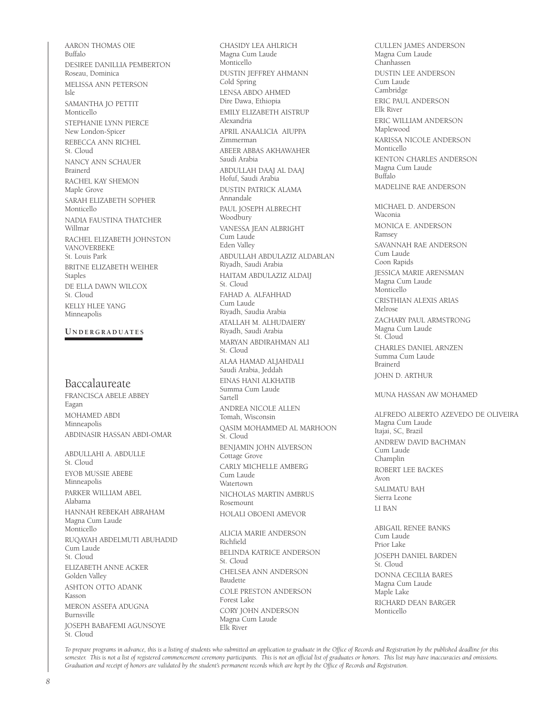AARON THOMAS OIE Buffalo DESIREE DANILLIA PEMBERTON Roseau, Dominica MELISSA ANN PETERSON Isle SAMANTHA JO PETTIT Monticello STEPHANIE LYNN PIERCE New London-Spicer REBECCA ANN RICHEL St. Cloud NANCY ANN SCHAUER Brainerd RACHEL KAY SHEMON Maple Grove SARAH ELIZABETH SOPHER Monticello NADIA FAUSTINA THATCHER Willmar RACHEL ELIZABETH JOHNSTON VANOVERBEKE St. Louis Park BRITNE ELIZABETH WEIHER Staples DE ELLA DAWN WILCOX St. Cloud KELLY HLEE YANG Minneapolis

#### **U n d e r g r a d u at e s**

#### Baccalaureate

FRANCISCA ABELE ABBEY Eagan MOHAMED ABDI Minneapolis ABDINASIR HASSAN ABDI-OMAR

ABDULLAHI A. ABDULLE St. Cloud EYOB MUSSIE ABEBE Minneapolis PARKER WILLIAM ABEL Alabama HANNAH REBEKAH ABRAHAM Magna Cum Laude Monticello RUQAYAH ABDELMUTI ABUHADID Cum Laude St. Cloud ELIZABETH ANNE ACKER Golden Valley ASHTON OTTO ADANK Kasson MERON ASSEFA ADUGNA Burnsville JOSEPH BABAFEMI AGUNSOYE St. Cloud

Magna Cum Laude Monticello DUSTIN JEFFREY AHMANN Cold Spring LENSA ABDO AHMED Dire Dawa, Ethiopia EMILY ELIZABETH AISTRUP Alexandria APRIL ANAALICIA AIUPPA Zimmerman ABEER ABBAS AKHAWAHER Saudi Arabia ABDULLAH DAAJ AL DAAJ Hofuf, Saudi Arabia DUSTIN PATRICK ALAMA Annandale PAUL JOSEPH ALBRECHT Woodbury VANESSA JEAN ALBRIGHT Cum Laude Eden Valley ABDULLAH ABDULAZIZ ALDABLAN Riyadh, Saudi Arabia HAITAM ABDULAZIZ ALDAIJ St. Cloud FAHAD A. ALFAHHAD Cum Laude Riyadh, Saudia Arabia ATALLAH M. ALHUDAIERY Riyadh, Saudi Arabia MARYAN ABDIRAHMAN ALI St. Cloud ALAA HAMAD ALJAHDALI Saudi Arabia, Jeddah EINAS HANI ALKHATIB Summa Cum Laude Sartell ANDREA NICOLE ALLEN Tomah, Wisconsin QASIM MOHAMMED AL MARHOON St. Cloud BENJAMIN JOHN ALVERSON Cottage Grove CARLY MICHELLE AMBERG Cum Laude Watertown NICHOLAS MARTIN AMBRUS Rosemount HOLALI OBOENI AMEVOR ALICIA MARIE ANDERSON Richfield BELINDA KATRICE ANDERSON St. Cloud CHELSEA ANN ANDERSON Baudette COLE PRESTON ANDERSON

CHASIDY LEA AHLRICH

Forest Lake CORY JOHN ANDERSON Magna Cum Laude Elk River

CULLEN JAMES ANDERSON Magna Cum Laude Chanhassen DUSTIN LEE ANDERSON Cum Laude Cambridge ERIC PAUL ANDERSON Elk River ERIC WILLIAM ANDERSON Maplewood KARISSA NICOLE ANDERSON Monticello KENTON CHARLES ANDERSON Magna Cum Laude Buffalo MADELINE RAE ANDERSON MICHAEL D. ANDERSON Waconia MONICA E. ANDERSON Ramsey SAVANNAH RAE ANDERSON Cum Laude Coon Rapids JESSICA MARIE ARENSMAN Magna Cum Laude Monticello CRISTHIAN ALEXIS ARIAS Melrose ZACHARY PAUL ARMSTRONG Magna Cum Laude St. Cloud CHARLES DANIEL ARNZEN Summa Cum Laude Brainerd JOHN D. ARTHUR MUNA HASSAN AW MOHAMED ALFREDO ALBERTO AZEVEDO DE OLIVEIRA Magna Cum Laude Itajai, SC, Brazil ANDREW DAVID BACHMAN Cum Laude Champlin ROBERT LEE BACKES Avon

SALIMATU BAH Sierra Leone LI BAN

ABIGAIL RENEE BANKS Cum Laude Prior Lake JOSEPH DANIEL BARDEN St. Cloud DONNA CECILIA BARES Magna Cum Laude Maple Lake RICHARD DEAN BARGER Monticello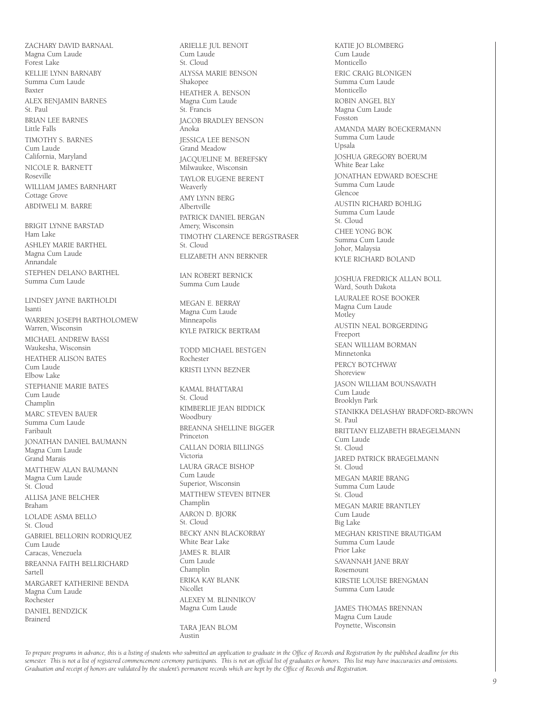ZACHARY DAVID BARNAAL Magna Cum Laude Forest Lake KELLIE LYNN BARNABY Summa Cum Laude Baxter ALEX BENJAMIN BARNES St. Paul BRIAN LEE BARNES Little Falls TIMOTHY S. BARNES Cum Laude California, Maryland NICOLE R. BARNETT Roseville WILLIAM JAMES BARNHART Cottage Grove ABDIWELI M. BARRE

BRIGIT LYNNE BARSTAD Ham Lake ASHLEY MARIE BARTHEL Magna Cum Laude Annandale STEPHEN DELANO BARTHEL Summa Cum Laude

LINDSEY JAYNE BARTHOLDI Isanti WARREN JOSEPH BARTHOLOMEW Warren, Wisconsin MICHAEL ANDREW BASSI Waukesha, Wisconsin HEATHER ALISON BATES Cum Laude Elbow Lake STEPHANIE MARIE BATES Cum Laude Champlin MARC STEVEN BAUER Summa Cum Laude Faribault JONATHAN DANIEL BAUMANN Magna Cum Laude Grand Marais MATTHEW ALAN BAUMANN Magna Cum Laude St. Cloud ALLISA JANE BELCHER Braham LOLADE ASMA BELLO St. Cloud GABRIEL BELLORIN RODRIQUEZ Cum Laude Caracas, Venezuela BREANNA FAITH BELLRICHARD Sartell MARGARET KATHERINE BENDA Magna Cum Laude Rochester DANIEL BENDZICK Brainerd

ARIELLE JUL BENOIT Cum Laude St. Cloud ALYSSA MARIE BENSON Shakopee HEATHER A. BENSON Magna Cum Laude St. Francis JACOB BRADLEY BENSON Anoka JESSICA LEE BENSON Grand Meadow JACQUELINE M. BEREFSKY Milwaukee, Wisconsin TAYLOR EUGENE BERENT Weaverly AMY LYNN BERG Albertville PATRICK DANIEL BERGAN Amery, Wisconsin TIMOTHY CLARENCE BERGSTRASER St. Cloud ELIZABETH ANN BERKNER

IAN ROBERT BERNICK Summa Cum Laude

MEGAN E. BERRAY Magna Cum Laude Minneapolis KYLE PATRICK BERTRAM

TODD MICHAEL BESTGEN Rochester KRISTI LYNN BEZNER

KAMAL BHATTARAI St. Cloud KIMBERLIE JEAN BIDDICK Woodbury BREANNA SHELLINE BIGGER Princeton CALLAN DORIA BILLINGS Victoria LAURA GRACE BISHOP Cum Laude Superior, Wisconsin MATTHEW STEVEN BITNER Champlin AARON D. BJORK St. Cloud BECKY ANN BLACKORBAY White Bear Lake JAMES R. BLAIR Cum Laude Champlin ERIKA KAY BLANK Nicollet ALEXEY M. BLINNIKOV Magna Cum Laude

TARA JEAN BLOM Austin

KATIE JO BLOMBERG Cum Laude Monticello ERIC CRAIG BLONIGEN Summa Cum Laude Monticello ROBIN ANGEL BLY Magna Cum Laude Fosston AMANDA MARY BOECKERMANN Summa Cum Laude Upsala JOSHUA GREGORY BOERUM White Bear Lake JONATHAN EDWARD BOESCHE Summa Cum Laude Glencoe AUSTIN RICHARD BOHLIG Summa Cum Laude St. Cloud CHEE YONG BOK Summa Cum Laude Johor, Malaysia KYLE RICHARD BOLAND

JOSHUA FREDRICK ALLAN BOLL Ward, South Dakota LAURALEE ROSE BOOKER Magna Cum Laude Motley AUSTIN NEAL BORGERDING Freeport SEAN WILLIAM BORMAN Minnetonka PERCY BOTCHWAY Shoreview JASON WILLIAM BOUNSAVATH Cum Laude Brooklyn Park STANIKKA DELASHAY BRADFORD-BROWN St. Paul BRITTANY ELIZABETH BRAEGELMANN Cum Laude St. Cloud JARED PATRICK BRAEGELMANN St. Cloud MEGAN MARIE BRANG Summa Cum Laude St. Cloud MEGAN MARIE BRANTLEY Cum Laude Big Lake MEGHAN KRISTINE BRAUTIGAM Summa Cum Laude Prior Lake SAVANNAH JANE BRAY Rosemount KIRSTIE LOUISE BRENGMAN Summa Cum Laude JAMES THOMAS BRENNAN

Magna Cum Laude Poynette, Wisconsin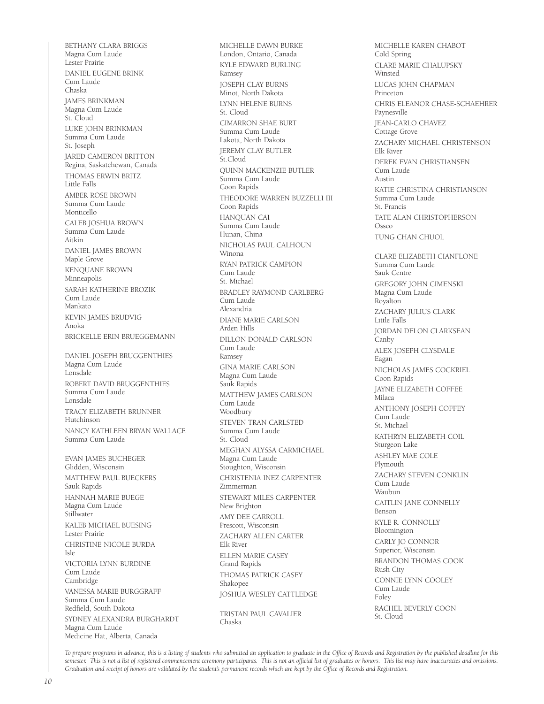BETHANY CLARA BRIGGS Magna Cum Laude Lester Prairie DANIEL EUGENE BRINK Cum Laude Chaska JAMES BRINKMAN Magna Cum Laude St. Cloud LUKE JOHN BRINKMAN Summa Cum Laude St. Joseph JARED CAMERON BRITTON Regina, Saskatchewan, Canada THOMAS ERWIN BRITZ Little Falls AMBER ROSE BROWN Summa Cum Laude Monticello CALEB JOSHUA BROWN Summa Cum Laude Aitkin DANIEL JAMES BROWN Maple Grove KENQUANE BROWN Minneapolis SARAH KATHERINE BROZIK Cum Laude Mankato KEVIN JAMES BRUDVIG Anoka BRICKELLE ERIN BRUEGGEMANN DANIEL JOSEPH BRUGGENTHIES Magna Cum Laude Lonsdale ROBERT DAVID BRUGGENTHIES Summa Cum Laude Lonsdale TRACY ELIZABETH BRUNNER Hutchinson NANCY KATHLEEN BRYAN WALLACE Summa Cum Laude EVAN JAMES BUCHEGER Glidden, Wisconsin MATTHEW PAUL BUECKERS Sauk Rapids HANNAH MARIE BUEGE Magna Cum Laude Stillwater KALEB MICHAEL BUESING Lester Prairie CHRISTINE NICOLE BURDA Isle VICTORIA LYNN BURDINE Cum Laude Cambridge VANESSA MARIE BURGGRAFF Summa Cum Laude Redfield, South Dakota SYDNEY ALEXANDRA BURGHARDT Magna Cum Laude Medicine Hat, Alberta, Canada

MICHELLE DAWN BURKE London, Ontario, Canada KYLE EDWARD BURLING Ramsey JOSEPH CLAY BURNS Minot, North Dakota LYNN HELENE BURNS St. Cloud CIMARRON SHAE BURT Summa Cum Laude Lakota, North Dakota JEREMY CLAY BUTLER St.Cloud QUINN MACKENZIE BUTLER Summa Cum Laude Coon Rapids THEODORE WARREN BUZZELLI III Coon Rapids HANQUAN CAI Summa Cum Laude Hunan, China NICHOLAS PAUL CALHOUN Winona RYAN PATRICK CAMPION Cum Laude St. Michael BRADLEY RAYMOND CARLBERG Cum Laude Alexandria DIANE MARIE CARLSON Arden Hills DILLON DONALD CARLSON Cum Laude Ramsey GINA MARIE CARLSON Magna Cum Laude Sauk Rapids MATTHEW JAMES CARLSON Cum Laude Woodbury STEVEN TRAN CARLSTED Summa Cum Laude St. Cloud MEGHAN ALYSSA CARMICHAEL Magna Cum Laude Stoughton, Wisconsin CHRISTENIA INEZ CARPENTER Zimmerman STEWART MILES CARPENTER New Brighton AMY DEE CARROLL Prescott, Wisconsin ZACHARY ALLEN CARTER Elk River ELLEN MARIE CASEY Grand Rapids THOMAS PATRICK CASEY Shakopee JOSHUA WESLEY CATTLEDGE TRISTAN PALIL CAVALIER Chaska

MICHELLE KAREN CHABOT Cold Spring CLARE MARIE CHALUPSKY Winsted LUCAS JOHN CHAPMAN Princeton CHRIS ELEANOR CHASE-SCHAEHRER Paynesville JEAN-CARLO CHAVEZ Cottage Grove ZACHARY MICHAEL CHRISTENSON Elk River DEREK EVAN CHRISTIANSEN Cum Laude Austin KATIE CHRISTINA CHRISTIANSON Summa Cum Laude St. Francis TATE ALAN CHRISTOPHERSON Osseo TUNG CHAN CHUOL CLARE ELIZABETH CIANFLONE Summa Cum Laude Sauk Centre GREGORY JOHN CIMENSKI Magna Cum Laude Royalton ZACHARY JULIUS CLARK Little Falls JORDAN DELON CLARKSEAN Canby ALEX JOSEPH CLYSDALE Eagan NICHOLAS JAMES COCKRIEL Coon Rapids JAYNE ELIZABETH COFFEE Milaca ANTHONY JOSEPH COFFEY Cum Laude St. Michael KATHRYN ELIZABETH COIL Sturgeon Lake ASHLEY MAE COLE Plymouth ZACHARY STEVEN CONKLIN Cum Laude Waubun CAITLIN JANE CONNELLY Benson KYLE R. CONNOLLY Bloomington CARLY JO CONNOR Superior, Wisconsin BRANDON THOMAS COOK Rush City CONNIE LYNN COOLEY Cum Laude Foley RACHEL BEVERLY COON St. Cloud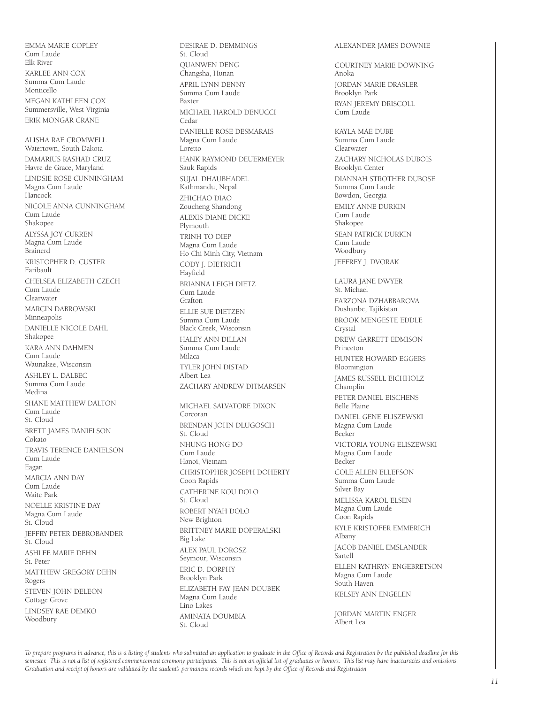EMMA MARIE COPLEY Cum Laude Elk River KARLEE ANN COX Summa Cum Laude Monticello MEGAN KATHLEEN COX Summersville, West Virginia ERIK MONGAR CRANE

ALISHA RAE CROMWELL Watertown, South Dakota DAMARIUS RASHAD CRUZ Havre de Grace, Maryland LINDSIE ROSE CUNNINGHAM Magna Cum Laude Hancock NICOLE ANNA CUNNINGHAM Cum Laude Shakopee ALYSSA JOY CURREN Magna Cum Laude Brainerd KRISTOPHER D. CUSTER Faribault CHELSEA ELIZABETH CZECH Cum Laude Clearwater MARCIN DABROWSKI Minneapolis DANIELLE NICOLE DAHL Shakopee KARA ANN DAHMEN Cum Laude Waunakee, Wisconsin ASHLEY L. DALBEC Summa Cum Laude Medina SHANE MATTHEW DALTON Cum Laude St. Cloud BRETT JAMES DANIELSON Cokato TRAVIS TERENCE DANIELSON Cum Laude Eagan MARCIA ANN DAY Cum Laude Waite Park NOELLE KRISTINE DAY Magna Cum Laude St. Cloud JEFFRY PETER DEBROBANDER St. Cloud ASHLEE MARIE DEHN St. Peter MATTHEW GREGORY DEHN Rogers STEVEN JOHN DELEON Cottage Grove LINDSEY RAE DEMKO Woodbury

St. Cloud QUANWEN DENG Changsha, Hunan APRIL LYNN DENNY Summa Cum Laude Baxter MICHAEL HAROLD DENUCCI Cedar DANIELLE ROSE DESMARAIS Magna Cum Laude Loretto HANK RAYMOND DEUERMEYER Sauk Rapids SUJAL DHAUBHADEL Kathmandu, Nepal ZHICHAO DIAO Zoucheng Shandong ALEXIS DIANE DICKE Plymouth TRINH TO DIEP Magna Cum Laude Ho Chi Minh City, Vietnam CODY J. DIETRICH Hayfield BRIANNA LEIGH DIETZ Cum Laude Grafton ELLIE SUE DIETZEN Summa Cum Laude Black Creek, Wisconsin HALEY ANN DILLAN Summa Cum Laude Milaca TYLER JOHN DISTAD Albert Lea ZACHARY ANDREW DITMARSEN MICHAEL SALVATORE DIXON Corcoran BRENDAN JOHN DLUGOSCH St. Cloud NHUNG HONG DO Cum Laude Hanoi, Vietnam CHRISTOPHER JOSEPH DOHERTY Coon Rapids CATHERINE KOU DOLO St. Cloud ROBERT NYAH DOLO New Brighton BRITTNEY MARIE DOPERALSKI Big Lake ALEX PAUL DOROSZ Seymour, Wisconsin ERIC D. DORPHY Brooklyn Park ELIZABETH FAY JEAN DOUBEK Magna Cum Laude Lino Lakes AMINATA DOUMBIA St. Cloud

DESIRAE D. DEMMINGS

#### ALEXANDER JAMES DOWNIE

COURTNEY MARIE DOWNING Anoka JORDAN MARIE DRASLER Brooklyn Park RYAN JEREMY DRISCOLL Cum Laude

KAYLA MAE DUBE Summa Cum Laude Clearwater ZACHARY NICHOLAS DUBOIS Brooklyn Center DIANNAH STROTHER DUBOSE Summa Cum Laude Bowdon, Georgia EMILY ANNE DURKIN Cum Laude Shakopee SEAN PATRICK DURKIN Cum Laude Woodbury JEFFREY J. DVORAK LAURA JANE DWYER St. Michael FARZONA DZHABBAROVA Dushanbe, Tajikistan BROOK MENGESTE EDDLE Crystal DREW GARRETT EDMISON Princeton HUNTER HOWARD EGGERS Bloomington JAMES RUSSELL EICHHOLZ Champlin PETER DANIEL EISCHENS Belle Plaine DANIEL GENE ELISZEWSKI Magna Cum Laude Becker VICTORIA YOUNG ELISZEWSKI Magna Cum Laude Becker COLE ALLEN ELLEFSON Summa Cum Laude Silver Bay MELISSA KAROL ELSEN Magna Cum Laude Coon Rapids KYLE KRISTOFER EMMERICH Albany JACOB DANIEL EMSLANDER Sartell ELLEN KATHRYN ENGEBRETSON Magna Cum Laude South Haven

KELSEY ANN ENGELEN

JORDAN MARTIN ENGER Albert Lea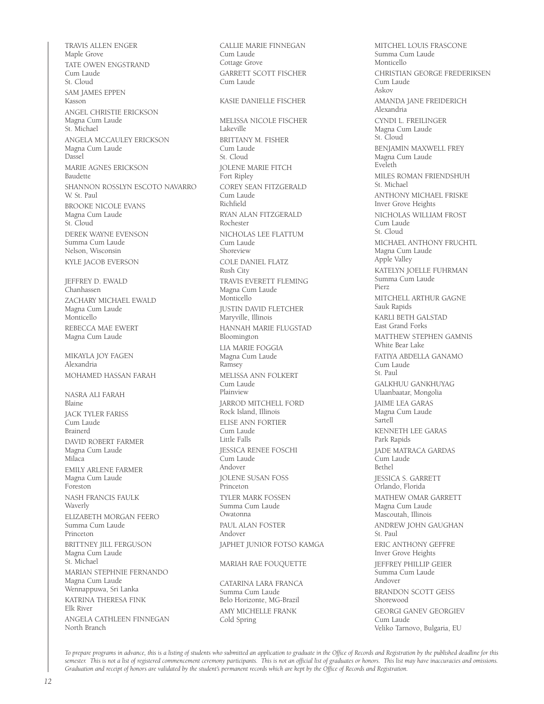TRAVIS ALLEN ENGER Maple Grove TATE OWEN ENGSTRAND Cum Laude St. Cloud SAM JAMES EPPEN Kasson ANGEL CHRISTIE ERICKSON Magna Cum Laude St. Michael ANGELA MCCAULEY ERICKSON Magna Cum Laude Dassel MARIE AGNES ERICKSON Baudette SHANNON ROSSLYN ESCOTO NAVARRO W. St. Paul BROOKE NICOLE EVANS Magna Cum Laude St. Cloud DEREK WAYNE EVENSON Summa Cum Laude Nelson, Wisconsin KYLE JACOB EVERSON JEFFREY D. EWALD Chanhassen ZACHARY MICHAEL EWALD Magna Cum Laude Monticello REBECCA MAE EWERT Magna Cum Laude MIKAYLA JOY FAGEN Alexandria MOHAMED HASSAN FARAH NASRA ALI FARAH Blaine JACK TYLER FARISS Cum Laude Brainerd DAVID ROBERT FARMER Magna Cum Laude Milaca EMILY ARLENE FARMER Magna Cum Laude Foreston NASH FRANCIS FAULK Waverly ELIZABETH MORGAN FEERO Summa Cum Laude Princeton BRITTNEY JILL FERGUSON Magna Cum Laude St. Michael MARIAN STEPHNIE FERNANDO Magna Cum Laude Wennappuwa, Sri Lanka KATRINA THERESA FINK Elk River ANGELA CATHLEEN FINNEGAN North Branch

CALLIE MARIE FINNEGAN Cum Laude Cottage Grove GARRETT SCOTT FISCHER Cum Laude KASIE DANIELLE FISCHER MELISSA NICOLE FISCHER Lakeville BRITTANY M. FISHER Cum Laude St. Cloud JOLENE MARIE FITCH Fort Ripley COREY SEAN FITZGERALD Cum Laude Richfield RYAN ALAN FITZGERALD Rochester NICHOLAS LEE FLATTUM Cum Laude Shoreview COLE DANIEL FLATZ Rush City TRAVIS EVERETT FLEMING Magna Cum Laude Monticello JUSTIN DAVID FLETCHER Maryville, Illinois HANNAH MARIE FLUGSTAD Bloomington LIA MARIE FOGGIA Magna Cum Laude Ramsey MELISSA ANN FOLKERT Cum Laude Plainview JARROD MITCHELL FORD Rock Island, Illinois ELISE ANN FORTIER Cum Laude Little Falls JESSICA RENEE FOSCHI Cum Laude Andover JOLENE SUSAN FOSS Princeton TYLER MARK FOSSEN Summa Cum Laude Owatonna PAUL ALAN FOSTER Andover JAPHET JUNIOR FOTSO KAMGA MARIAH RAE FOUQUETTE

CATARINA LARA FRANCA Summa Cum Laude Belo Horizonte, MG-Brazil AMY MICHELLE FRANK Cold Spring

MITCHEL LOUIS FRASCONE Summa Cum Laude Monticello CHRISTIAN GEORGE FREDERIKSEN Cum Laude Askov AMANDA JANE FREIDERICH Alexandria CYNDI L. FREILINGER Magna Cum Laude St. Cloud BENJAMIN MAXWELL FREY Magna Cum Laude Eveleth MILES ROMAN FRIENDSHUH St. Michael ANTHONY MICHAEL FRISKE Inver Grove Heights NICHOLAS WILLIAM FROST Cum Laude St. Cloud MICHAEL ANTHONY FRUCHTL Magna Cum Laude Apple Valley KATELYN JOELLE FUHRMAN Summa Cum Laude Pierz MITCHELL ARTHUR GAGNE Sauk Rapids KARLI BETH GALSTAD East Grand Forks MATTHEW STEPHEN GAMNIS White Bear Lake FATIYA ABDELLA GANAMO Cum Laude St. Paul GALKHUU GANKHUYAG Ulaanbaatar, Mongolia JAIME LEA GARAS Magna Cum Laude Sartell KENNETH LEE GARAS Park Rapids JADE MATRACA GARDAS .<br>Cum Laude Bethel JESSICA S. GARRETT Orlando, Florida MATHEW OMAR GARRETT Magna Cum Laude Mascoutah, Illinois ANDREW JOHN GAUGHAN St. Paul ERIC ANTHONY GEFFRE Inver Grove Heights JEFFREY PHILLIP GEIER Summa Cum Laude Andover BRANDON SCOTT GEISS Shorewood GEORGI GANEV GEORGIEV Cum Laude Veliko Tarnovo, Bulgaria, EU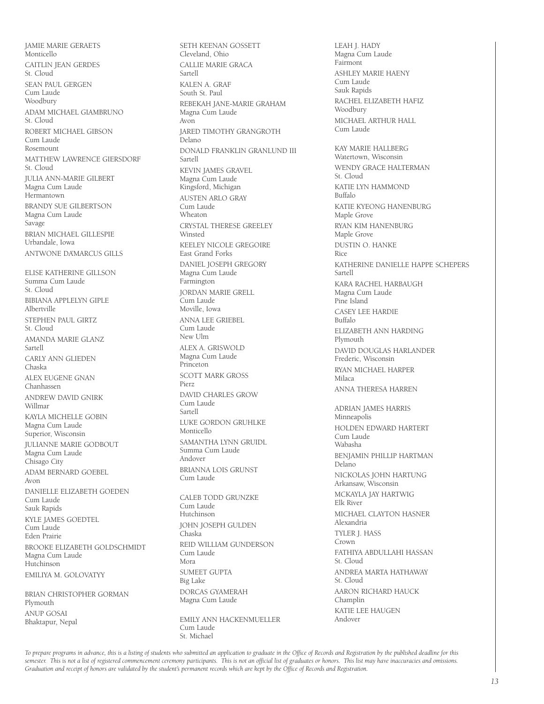JAMIE MARIE GERAETS Monticello CAITLIN JEAN GERDES St. Cloud SEAN PAUL GERGEN Cum Laude **Woodbury** ADAM MICHAEL GIAMBRUNO St. Cloud ROBERT MICHAEL GIBSON Cum Laude Rosemount MATTHEW LAWRENCE GIERSDORF St. Cloud JULIA ANN-MARIE GILBERT Magna Cum Laude Hermantown BRANDY SUE GILBERTSON Magna Cum Laude Savage BRIAN MICHAEL GILLESPIE Urbandale, Iowa ANTWONE DA'MARCUS GILLS ELISE KATHERINE GILLSON Summa Cum Laude St. Cloud BIBIANA APPLELYN GIPLE Albertville STEPHEN PAUL GIRTZ St. Cloud AMANDA MARIE GLANZ Sartell CARLY ANN GLIEDEN Chaska ALEX EUGENE GNAN Chanhassen ANDREW DAVID GNIRK Willmar KAYLA MICHELLE GOBIN Magna Cum Laude Superior, Wisconsin JULIANNE MARIE GODBOUT Magna Cum Laude Chisago City ADAM BERNARD GOEBEL Avon DANIELLE ELIZABETH GOEDEN Cum Laude Sauk Rapids KYLE JAMES GOEDTEL Cum Laude Eden Prairie BROOKE ELIZABETH GOLDSCHMIDT Magna Cum Laude Hutchinson EMILIYA M. GOLOVATYY

BRIAN CHRISTOPHER GORMAN Plymouth ANUP GOSAI Bhaktapur, Nepal

Cleveland, Ohio CALLIE MARIE GRACA Sartell KALEN A. GRAF South St. Paul REBEKAH JANE-MARIE GRAHAM Magna Cum Laude Avon JARED TIMOTHY GRANGROTH Delano DONALD FRANKLIN GRANLUND III Sartell KEVIN JAMES GRAVEL Magna Cum Laude Kingsford, Michigan AUSTEN ARLO GRAY Cum Laude Wheaton CRYSTAL THERESE GREELEY Winsted KEELEY NICOLE GREGOIRE East Grand Forks DANIEL JOSEPH GREGORY Magna Cum Laude Farmington JORDAN MARIE GRELL Cum Laude Moville, Iowa ANNA LEE GRIEBEL Cum Laude New Ulm ALEX A. GRISWOLD Magna Cum Laude Princeton SCOTT MARK GROSS Pierz DAVID CHARLES GROW Cum Laude Sartell LUKE GORDON GRUHLKE Monticello SAMANTHA LYNN GRUIDL Summa Cum Laude Andover BRIANNA LOIS GRUNST Cum Laude CALEB TODD GRUNZKE Cum Laude Hutchinson JOHN JOSEPH GULDEN Chaska REID WILLIAM GUNDERSON Cum Laude Mora SUMEET GUPTA Big Lake DORCAS GYAMERAH Magna Cum Laude

SETH KEENAN GOSSETT

EMILY ANN HACKENMUELLER Cum Laude St. Michael

LEAH J. HADY Magna Cum Laude Fairmont ASHLEY MARIE HAENY Cum Laude Sauk Rapids RACHEL ELIZABETH HAFIZ Woodbury MICHAEL ARTHUR HALL Cum Laude KAY MARIE HALLBERG Watertown, Wisconsin WENDY GRACE HALTERMAN St. Cloud KATIE LYN HAMMOND Buffalo KATIE KYEONG HANENBURG Maple Grove RYAN KIM HANENBURG Maple Grove DUSTIN O. HANKE Rice KATHERINE DANIELLE HAPPE SCHEPERS Sartell KARA RACHEL HARBAUGH Magna Cum Laude Pine Island CASEY LEE HARDIE Buffalo ELIZABETH ANN HARDING Plymouth DAVID DOUGLAS HARLANDER Frederic, Wisconsin RYAN MICHAEL HARPER Milaca ANNA THERESA HARREN ADRIAN JAMES HARRIS Minneapolis HOLDEN EDWARD HARTERT Cum Laude Wabasha BENJAMIN PHILLIP HARTMAN Delano NICKOLAS JOHN HARTUNG Arkansaw, Wisconsin MCKAYLA JAY HARTWIG Elk River MICHAEL CLAYTON HASNER Alexandria TYLER J. HASS Crown FATHIYA ABDULLAHI HASSAN St. Cloud ANDREA MARTA HATHAWAY St. Cloud AARON RICHARD HAUCK Champlin KATIE LEE HAUGEN Andover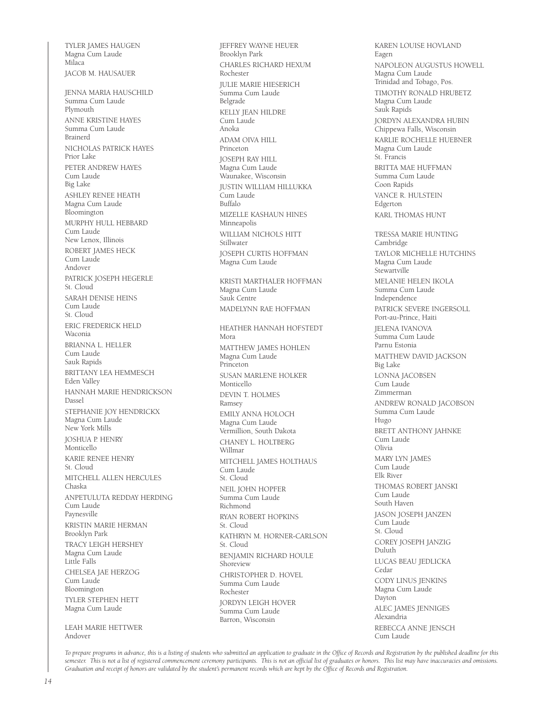TYLER JAMES HAUGEN Magna Cum Laude Milaca JACOB M. HAUSAUER JENNA MARIA HAUSCHILD Summa Cum Laude Plymouth ANNE KRISTINE HAYES Summa Cum Laude Brainerd NICHOLAS PATRICK HAYES Prior Lake PETER ANDREW HAYES Cum Laude Big Lake ASHLEY RENEE HEATH Magna Cum Laude Bloomington MURPHY HULL HEBBARD Cum Laude New Lenox, Illinois ROBERT JAMES HECK Cum Laude Andover PATRICK JOSEPH HEGERLE St. Cloud SARAH DENISE HEINS Cum Laude St. Cloud ERIC FREDERICK HELD Waconia BRIANNA L. HELLER Cum Laude Sauk Rapids BRITTANY LEA HEMMESCH Eden Valley HANNAH MARIE HENDRICKSON Dassel STEPHANIE JOY HENDRICKX Magna Cum Laude New York Mills JOSHUA P. HENRY Monticello KARIE RENEE HENRY St. Cloud MITCHELL ALLEN HERCULES Chaska ANPETULUTA REDDAY HERDING Cum Laude Paynesville KRISTIN MARIE HERMAN Brooklyn Park TRACY LEIGH HERSHEY Magna Cum Laude Little Falls CHELSEA JAE HERZOG Cum Laude Bloomington TYLER STEPHEN HETT Magna Cum Laude

LEAH MARIE HETTWER Andover

JEFFREY WAYNE HEUER Brooklyn Park CHARLES RICHARD HEXUM Rochester JULIE MARIE HIESERICH Summa Cum Laude Belgrade KELLY JEAN HILDRE Cum Laude Anoka ADAM OIVA HILL Princeton JOSEPH RAY HILL Magna Cum Laude Waunakee, Wisconsin JUSTIN WILLIAM HILLUKKA Cum Laude Buffalo MIZELLE KASHAUN HINES Minneapolis WILLIAM NICHOLS HITT Stillwater JOSEPH CURTIS HOFFMAN Magna Cum Laude KRISTI MARTHALER HOFFMAN Magna Cum Laude Sauk Centre MADELYNN RAE HOFFMAN HEATHER HANNAH HOFSTEDT Mora MATTHEW JAMES HOHLEN Magna Cum Laude Princeton SUSAN MARLENE HOLKER Monticello DEVIN T. HOLMES Ramsey EMILY ANNA HOLOCH Magna Cum Laude Vermillion, South Dakota CHANEY L. HOLTBERG Willmar MITCHELL JAMES HOLTHAUS Cum Laude St. Cloud NEIL JOHN HOPFER Summa Cum Laude Richmond RYAN ROBERT HOPKINS St. Cloud KATHRYN M. HORNER-CARLSON St. Cloud BENJAMIN RICHARD HOULE Shoreview CHRISTOPHER D. HOVEL Summa Cum Laude Rochester JORDYN LEIGH HOVER Summa Cum Laude Barron, Wisconsin

KAREN LOUISE HOVLAND Eagen NAPOLEON AUGUSTUS HOWELL Magna Cum Laude Trinidad and Tobago, Pos. TIMOTHY RONALD HRUBETZ Magna Cum Laude Sauk Rapids JORDYN ALEXANDRA HUBIN Chippewa Falls, Wisconsin KARLIE ROCHELLE HUEBNER Magna Cum Laude St. Francis BRITTA MAE HUFFMAN Summa Cum Laude Coon Rapids VANCE R. HULSTEIN Edgerton KARL THOMAS HUNT TRESSA MARIE HUNTING Cambridge TAYLOR MICHELLE HUTCHINS Magna Cum Laude Stewartville MELANIE HELEN IKOLA Summa Cum Laude Independence PATRICK SEVERE INGERSOLL Port-au-Prince, Haiti JELENA IVANOVA Summa Cum Laude Parnu Estonia MATTHEW DAVID JACKSON Big Lake LONNA JACOBSEN Cum Laude Zimmerman ANDREW RONALD JACOBSON Summa Cum Laude Hugo BRETT ANTHONY JAHNKE Cum Laude Olivia MARY LYN JAMES Cum Laude Elk River THOMAS ROBERT JANSKI Cum Laude South Haven JASON JOSEPH JANZEN Cum Laude St. Cloud COREY JOSEPH JANZIG Duluth LUCAS BEAU JEDLICKA Cedar CODY LINUS JENKINS Magna Cum Laude Dayton ALEC JAMES JENNIGES Alexandria REBECCA ANNE JENSCH Cum Laude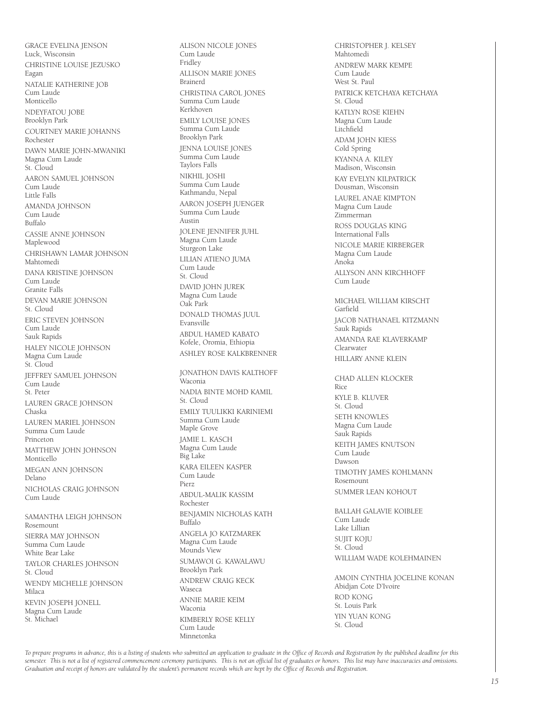GRACE EVELINA JENSON Luck, Wisconsin CHRISTINE LOUISE JEZUSKO Eagan NATALIE KATHERINE JOB Cum Laude Monticello NDEYFATOU JOBE Brooklyn Park COURTNEY MARIE JOHANNS Rochester DAWN MARIE JOHN-MWANIKI Magna Cum Laude St. Cloud AARON SAMUEL JOHNSON Cum Laude Little Falls AMANDA JOHNSON Cum Laude Buffalo CASSIE ANNE JOHNSON Maplewood CHRISHAWN LAMAR JOHNSON Mahtomedi DANA KRISTINE JOHNSON Cum Laude Granite Falls DEVAN MARIE JOHNSON St. Cloud ERIC STEVEN JOHNSON Cum Laude Sauk Rapids HALEY NICOLE JOHNSON Magna Cum Laude St. Cloud JEFFREY SAMUEL JOHNSON .<br>Cum Laude St. Peter LAUREN GRACE JOHNSON Chaska LAUREN MARIEL JOHNSON Summa Cum Laude Princeton MATTHEW JOHN JOHNSON Monticello MEGAN ANN JOHNSON Delano NICHOLAS CRAIG JOHNSON Cum Laude SAMANTHA LEIGH JOHNSON Rosemount SIERRA MAY JOHNSON Summa Cum Laude White Bear Lake TAYLOR CHARLES JOHNSON St. Cloud

WENDY MICHELLE JOHNSON Milaca KEVIN JOSEPH JONELL Magna Cum Laude St. Michael

Cum Laude Fridley ALLISON MARIE JONES Brainerd CHRISTINA CAROL JONES Summa Cum Laude Kerkhoven EMILY LOUISE JONES Summa Cum Laude Brooklyn Park JENNA LOUISE JONES Summa Cum Laude Taylors Falls NIKHIL JOSHI Summa Cum Laude Kathmandu, Nepal AARON JOSEPH JUENGER Summa Cum Laude Austin JOLENE JENNIFER JUHL Magna Cum Laude Sturgeon Lake LILIAN ATIENO JUMA Cum Laude St. Cloud DAVID JOHN JUREK Magna Cum Laude Oak Park DONALD THOMAS JUUL Evansville ABDUL HAMED KABATO Kofele, Oromia, Ethiopia ASHLEY ROSE KALKBRENNER JONATHON DAVIS KALTHOFF Waconia NADIA BINTE MOHD KAMIL St. Cloud EMILY TUULIKKI KARINIEMI Summa Cum Laude Maple Grove JAMIE L. KASCH Magna Cum Laude Big Lake KARA EILEEN KASPER Cum Laude Pierz ABDUL-MALIK KASSIM Rochester BENJAMIN NICHOLAS KATH Buffalo ANGELA JO KATZMAREK Magna Cum Laude Mounds View SUMAWOI G. KAWALAWU Brooklyn Park ANDREW CRAIG KECK Waseca ANNIE MARIE KEIM Waconia KIMBERLY ROSE KELLY

ALISON NICOLE JONES

CHRISTOPHER J. KELSEY Mahtomedi ANDREW MARK KEMPE Cum Laude West St. Paul PATRICK KETCHAYA KETCHAYA St. Cloud KATLYN ROSE KIEHN Magna Cum Laude Litchfield ADAM JOHN KIESS Cold Spring KYANNA A. KILEY Madison, Wisconsin KAY EVELYN KILPATRICK Dousman, Wisconsin LAUREL ANAE KIMPTON Magna Cum Laude Zimmerman ROSS DOUGLAS KING International Falls NICOLE MARIE KIRBERGER Magna Cum Laude Anoka ALLYSON ANN KIRCHHOFF Cum Laude MICHAEL WILLIAM KIRSCHT Garfield JACOB NATHANAEL KITZMANN Sauk Rapids AMANDA RAE KLAVERKAMP Clearwater HILLARY ANNE KLEIN CHAD ALLEN KLOCKER Rice KYLE B. KLUVER St. Cloud SETH KNOWLES Magna Cum Laude Sauk Rapids KEITH JAMES KNUTSON Cum Laude Dawson TIMOTHY JAMES KOHLMANN Rosemount SUMMER LEAN KOHOUT BALLAH GALAVIE KOIBLEE Cum Laude Lake Lillian SUIIT KOIU St. Cloud WILLIAM WADE KOLEHMAINEN AMOIN CYNTHIA JOCELINE KONAN Abidjan Cote D'Ivoire ROD KONG St. Louis Park

YIN YUAN KONG St. Cloud

*To prepare programs in advance, this is a listing of students who submitted an application to graduate in the Office of Records and Registration by the published deadline for this semester. This is not a list of registered commencement ceremony participants. This is not an official list of graduates or honors. This list may have inaccuracies and omissions. Graduation and receipt of honors are validated by the student's permanent records which are kept by the Office of Records and Registration.*

Cum Laude Minnetonka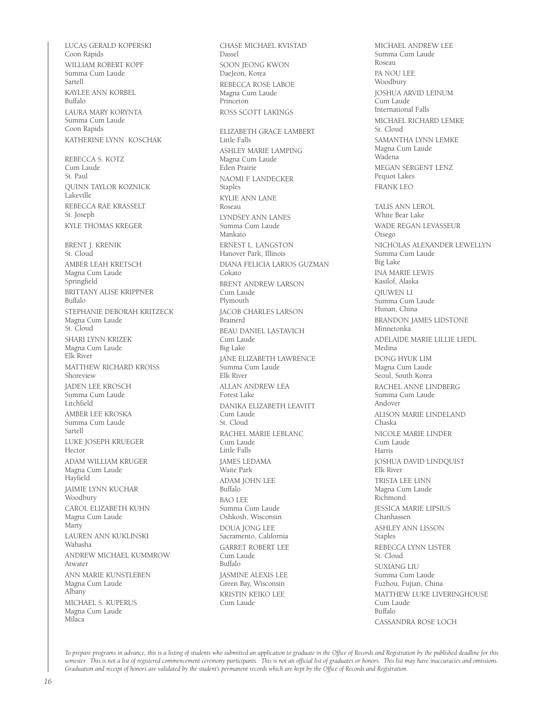LUCAS GERALD KOPERSKI Coon Rapids WILLIAM ROBERT KOPF Summa Cum Laude Sartell KAYLEE ANN KORBEL Buffalo LAURA MARY KORYNTA Summa Cum Laude Coon Rapids KATHERINE LYNN KOSCHAK REBECCA S. KOTZ Cum Laude St. Paul QUINN TAYLOR KOZNICK Lakeville REBECCA RAE KRASSELT St. Joseph KYLE THOMAS KREGER BRENT J. KRENIK St. Cloud AMBER LEAH KRETSCH Magna Cum Laude Springfield BRITTANY ALISE KRIPPNER Buffalo STEPHANIE DEBORAH KRITZECK Magna Cum Laude St. Cloud SHARI LYNN KRIZEK Magna Cum Laude Elk River MATTHEW RICHARD KROISS Shoreview JADEN LEE KROSCH Summa Cum Laude Litchfield AMBER LEE KROSKA Summa Cum Laude Sartell LUKE JOSEPH KRUEGER Hector ADAM WILLIAM KRUGER Magna Cum Laude Hayfield JAIMIE LYNN KUCHAR Woodbury CAROL ELIZABETH KUHN Magna Cum Laude Marty LAUREN ANN KUKLINSKI Wabasha ANDREW MICHAEL KUMMROW Atwater ANN MARIE KUNSTLEBEN Magna Cum Laude Albany MICHAEL S. KUPERUS Magna Cum Laude Milaca

CHASE MICHAEL KVISTAD Dassel SOON JEONG KWON DaeJeon, Korea REBECCA ROSE LABOE Magna Cum Laude Princeton ROSS SCOTT LAKINGS ELIZABETH GRACE LAMBERT Little Falls ASHLEY MARIE LAMPING Magna Cum Laude Eden Prairie NAOMI F. LANDECKER Staples KYLIE ANN LANE Roseau LYNDSEY ANN LANES Summa Cum Laude Mankato ERNEST L. LANGSTON Hanover Park, Illinois DIANA FELICIA LARIOS GUZMAN Cokato BRENT ANDREW LARSON Cum Laude Plymouth JACOB CHARLES LARSON Brainerd BEAU DANIEL LASTAVICH Cum Laude Big Lake JANE ELIZABETH LAWRENCE Summa Cum Laude Elk River ALLAN ANDREW LEA Forest Lake DANIKA ELIZABETH LEAVITT Cum Laude St. Cloud RACHEL MARIE LEBLANC Cum Laude Little Falls JAMES LEDAMA .<br>Waite Park ADAM JOHN LEE Buffalo BAO LEE Summa Cum Laude Oshkosh, Wisconsin DOUA JONG LEE Sacramento, California GARRET ROBERT LEE Cum Laude Buffalo JASMINE ALEXIS LEE Green Bay, Wisconsin KRISTIN KEIKO LEE Cum Laude

MICHAEL ANDREW LEE Summa Cum Laude Roseau PA NOU LEE Woodbury JOSHUA ARVID LEINUM Cum Laude International Falls MICHAEL RICHARD LEMKE St. Cloud SAMANTHA LYNN LEMKE Magna Cum Laude Wadena MEGAN SERGENT LENZ Pequot Lakes FRANK LEO TALIS ANN LEROL White Bear Lake WADE REGAN LEVASSEUR Otsego NICHOLAS ALEXANDER LEWELLYN Summa Cum Laude Big Lake INA MARIE LEWIS Kasilof, Alaska QIUWEN LI Summa Cum Laude Hunan, China BRANDON JAMES LIDSTONE Minnetonka ADELAIDE MARIE LILLIE LIEDL Medina DONG HYUK LIM Magna Cum Laude Seoul, South Korea RACHEL ANNE LINDBERG Summa Cum Laude Andover ALISON MARIE LINDELAND Chaska NICOLE MARIE LINDER Cum Laude Harris JOSHUA DAVID LINDQUIST Elk River TRISTA LEE LINN Magna Cum Laude Richmond JESSICA MARIE LIPSIUS Chanhassen ASHLEY ANN LISSON Staples REBECCA LYNN LISTER St. Cloud SUXIANG LIU Summa Cum Laude Fuzhou, Fujian, China MATTHEW LUKE LIVERINGHOUSE Cum Laude Buffalo CASSANDRA ROSE LOCH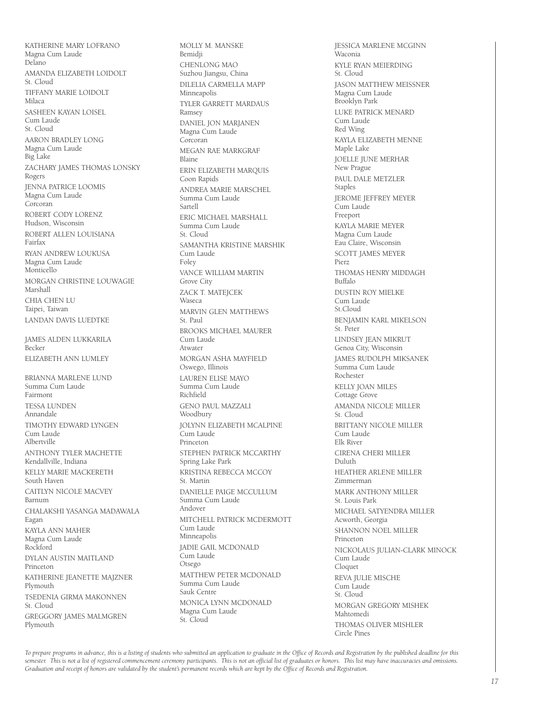KATHERINE MARY LOFRANO Magna Cum Laude Delano AMANDA ELIZABETH LOIDOLT St. Cloud TIFFANY MARIE LOIDOLT Milaca SASHEEN KAYAN LOISEL Cum Laude St. Cloud AARON BRADLEY LONG Magna Cum Laude Big Lake ZACHARY JAMES THOMAS LONSKY Rogers JENNA PATRICE LOOMIS Magna Cum Laude Corcoran ROBERT CODY LORENZ Hudson, Wisconsin ROBERT ALLEN LOUISIANA Fairfax RYAN ANDREW LOUKUSA Magna Cum Laude Monticello MORGAN CHRISTINE LOUWAGIE Marshall CHIA CHEN LU Taipei, Taiwan LANDAN DAVIS LUEDTKE JAMES ALDEN LUKKARILA .<br>Becker ELIZABETH ANN LUMLEY BRIANNA MARLENE LUND Summa Cum Laude Fairmont TESSA LUNDEN Annandale TIMOTHY EDWARD LYNGEN Cum Laude Albertville ANTHONY TYLER MACHETTE Kendallville, Indiana KELLY MARIE MACKERETH South Haven CAITLYN NICOLE MACVEY Barnum CHALAKSHI YASANGA MADAWALA Eagan KAYLA ANN MAHER Magna Cum Laude Rockford DYLAN AUSTIN MAITLAND Princeton KATHERINE JEANETTE MAJZNER Plymouth TSEDENIA GIRMA MAKONNEN St. Cloud GREGGORY JAMES MALMGREN Plymouth

MOLLY M. MANSKE Bemidji CHENLONG MAO Suzhou Jiangsu, China DILELIA CARMELLA MAPP Minneapolis TYLER GARRETT MARDAUS Ramsey DANIEL JON MARJANEN Magna Cum Laude Corcoran MEGAN RAE MARKGRAF Blaine ERIN ELIZABETH MARQUIS Coon Rapids ANDREA MARIE MARSCHEL Summa Cum Laude Sartell ERIC MICHAEL MARSHALL Summa Cum Laude  $St$ . Cloud SAMANTHA KRISTINE MARSHIK Cum Laude Foley VANCE WILLIAM MARTIN Grove City ZACK T. MATEJCEK Waseca MARVIN GLEN MATTHEWS St. Paul BROOKS MICHAEL MAURER Cum Laude Atwater MORGAN ASHA MAYFIELD Oswego, Illinois LAUREN ELISE MAYO Summa Cum Laude Richfield GENO PAUL MAZZALI Woodbury JOLYNN ELIZABETH MCALPINE Cum Laude Princeton STEPHEN PATRICK MCCARTHY Spring Lake Park KRISTINA REBECCA MCCOY St. Martin DANIELLE PAIGE MCCULLUM Summa Cum Laude Andover MITCHELL PATRICK MCDERMOTT Cum Laude Minneapolis JADIE GAIL MCDONALD Cum Laude Otsego MATTHEW PETER MCDONALD Summa Cum Laude Sauk Centre MONICA LYNN MCDONALD Magna Cum Laude St. Cloud

JESSICA MARLENE MCGINN Waconia KYLE RYAN MEIERDING St. Cloud JASON MATTHEW MEISSNER Magna Cum Laude Brooklyn Park LUKE PATRICK MENARD Cum Laude Red Wing KAYLA ELIZABETH MENNE Maple Lake JOELLE JUNE MERHAR New Prague PAUL DALE METZLER Staples JEROME JEFFREY MEYER Cum Laude Freeport KAYLA MARIE MEYER Magna Cum Laude Eau Claire, Wisconsin SCOTT JAMES MEYER Pierz THOMAS HENRY MIDDAGH Buffalo DUSTIN ROY MIELKE Cum Laude  $St$ . Cloud BENJAMIN KARL MIKELSON St. Peter LINDSEY JEAN MIKRUT Genoa City, Wisconsin JAMES RUDOLPH MIKSANEK Summa Cum Laude Rochester KELLY JOAN MILES Cottage Grove AMANDA NICOLE MILLER St. Cloud BRITTANY NICOLE MILLER Cum Laude Elk River CIRENA CHERI MILLER Duluth HEATHER ARLENE MILLER Zimmerman MARK ANTHONY MILLER St. Louis Park MICHAEL SATYENDRA MILLER Acworth, Georgia SHANNON NOEL MILLER Princeton NICKOLAUS JULIAN-CLARK MINOCK Cum Laude Cloquet REVA JULIE MISCHE Cum Laude St. Cloud MORGAN GREGORY MISHEK Mahtomedi THOMAS OLIVER MISHLER Circle Pines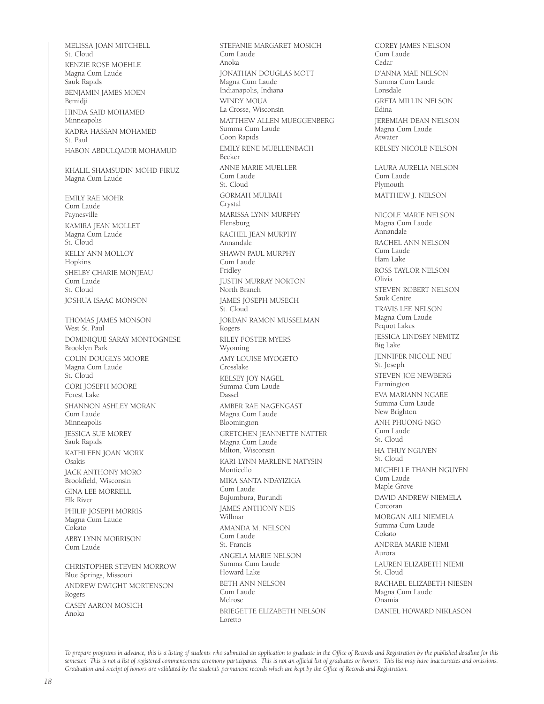MELISSA JOAN MITCHELL St. Cloud KENZIE ROSE MOEHLE Magna Cum Laude Sauk Rapids BENJAMIN JAMES MOEN Bemidji HINDA SAID MOHAMED Minneapolis KADRA HASSAN MOHAMED St. Paul HABON ABDULQADIR MOHAMUD KHALIL SHAMSUDIN MOHD FIRUZ Magna Cum Laude EMILY RAE MOHR Cum Laude Paynesville KAMIRA JEAN MOLLET Magna Cum Laude St. Cloud KELLY ANN MOLLOY Hopkins SHELBY CHARIE MONJEAU Cum Laude St. Cloud JOSHUA ISAAC MONSON THOMAS JAMES MONSON West St. Paul DOMINIQUE SARAY MONTOGNESE Brooklyn Park COLIN DOUGLYS MOORE Magna Cum Laude St. Cloud CORI JOSEPH MOORE Forest Lake SHANNON ASHLEY MORAN Cum Laude Minneapolis JESSICA SUE MOREY Sauk Rapids KATHLEEN JOAN MORK Osakis JACK ANTHONY MORO Brookfield, Wisconsin GINA LEE MORRELL Elk River PHILIP JOSEPH MORRIS Magna Cum Laude Cokato ABBY LYNN MORRISON Cum Laude CHRISTOPHER STEVEN MORROW Blue Springs, Missouri ANDREW DWIGHT MORTENSON Rogers CASEY AARON MOSICH

STEFANIE MARGARET MOSICH Cum Laude Anoka JONATHAN DOUGLAS MOTT Magna Cum Laude Indianapolis, Indiana WINDY MOUA La Crosse, Wisconsin MATTHEW ALLEN MUEGGENBERG Summa Cum Laude Coon Rapids EMILY RENE MUELLENBACH Becker ANNE MARIE MUELLER Cum Laude St. Cloud GORMAH MULBAH Crystal MARISSA LYNN MURPHY Flensburg RACHEL JEAN MURPHY Annandale SHAWN PAUL MURPHY Cum Laude Fridley JUSTIN MURRAY NORTON North Branch JAMES JOSEPH MUSECH St. Cloud JORDAN RAMON MUSSELMAN Rogers RILEY FOSTER MYERS Wyoming AMY LOUISE MYOGETO Crosslake KELSEY JOY NAGEL Summa Cum Laude Dassel AMBER RAE NAGENGAST Magna Cum Laude Bloomington GRETCHEN JEANNETTE NATTER Magna Cum Laude Milton, Wisconsin KARI-LYNN MARLENE NATYSIN Monticello MIKA SANTA NDAYIZIGA Cum Laude Bujumbura, Burundi JAMES ANTHONY NEIS Willmar AMANDA M. NELSON Cum Laude St. Francis ANGELA MARIE NELSON Summa Cum Laude Howard Lake BETH ANN NELSON Cum Laude Melrose BRIEGETTE ELIZABETH NELSON Loretto

COREY JAMES NELSON Cum Laude Cedar D'ANNA MAE NELSON Summa Cum Laude Lonsdale GRETA MILLIN NELSON Edina JEREMIAH DEAN NELSON Magna Cum Laude Atwater KELSEY NICOLE NELSON LAURA AURELIA NELSON Cum Laude Plymouth MATTHEW J. NELSON NICOLE MARIE NELSON Magna Cum Laude Annandale RACHEL ANN NELSON Cum Laude Ham Lake ROSS TAYLOR NELSON Olivia STEVEN ROBERT NELSON Sauk Centre TRAVIS LEE NELSON Magna Cum Laude Pequot Lakes JESSICA LINDSEY NEMITZ Big Lake JENNIFER NICOLE NEU St. Joseph STEVEN JOE NEWBERG Farmington EVA MARIANN NGARE Summa Cum Laude New Brighton ANH PHUONG NGO Cum Laude St. Cloud HA THUY NGUYEN St. Cloud MICHELLE THANH NGUYEN Cum Laude Maple Grove DAVID ANDREW NIEMELA Corcoran MORGAN AILI NIEMELA Summa Cum Laude Cokato ANDREA MARIE NIEMI Aurora LAUREN ELIZABETH NIEMI St. Cloud RACHAEL ELIZABETH NIESEN Magna Cum Laude Onamia DANIEL HOWARD NIKLASON

*To prepare programs in advance, this is a listing of students who submitted an application to graduate in the Office of Records and Registration by the published deadline for this semester. This is not a list of registered commencement ceremony participants. This is not an official list of graduates or honors. This list may have inaccuracies and omissions. Graduation and receipt of honors are validated by the student's permanent records which are kept by the Office of Records and Registration.*

Anoka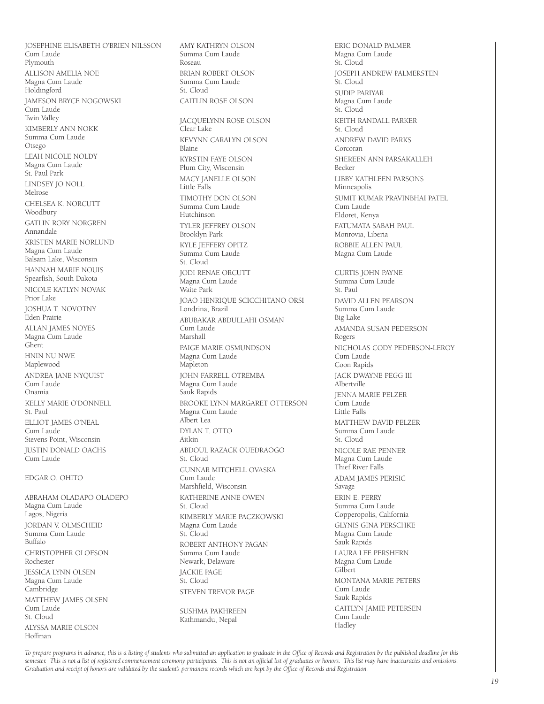JOSEPHINE ELISABETH O'BRIEN NILSSON Cum Laude Plymouth ALLISON AMELIA NOE Magna Cum Laude Holdingford JAMESON BRYCE NOGOWSKI .<br>Cum Laude Twin Valley KIMBERLY ANN NOKK Summa Cum Laude Otsego LEAH NICOLE NOLDY Magna Cum Laude St. Paul Park LINDSEY JO NOLL Melrose CHELSEA K. NORCUTT Woodbury GATLIN RORY NORGREN Annandale KRISTEN MARIE NORLUND Magna Cum Laude Balsam Lake, Wisconsin HANNAH MARIE NOUIS Spearfish, South Dakota NICOLE KATLYN NOVAK Prior Lake JOSHUA T. NOVOTNY Eden Prairie ALLAN JAMES NOYES Magna Cum Laude Ghent HNIN NU NWE Maplewood ANDREA JANE NYQUIST Cum Laude Onamia KELLY MARIE O'DONNELL St. Paul ELLIOT JAMES O'NEAL Cum Laude Stevens Point, Wisconsin JUSTIN DONALD OACHS Cum Laude EDGAR O. OHITO

ABRAHAM OLADAPO OLADEPO Magna Cum Laude Lagos, Nigeria JORDAN V. OLMSCHEID Summa Cum Laude Buffalo CHRISTOPHER OLOFSON Rochester JESSICA LYNN OLSEN Magna Cum Laude Cambridge MATTHEW JAMES OLSEN Cum Laude St. Cloud ALYSSA MARIE OLSON Hoffman

AMY KATHRYN OLSON Summa Cum Laude Roseau BRIAN ROBERT OLSON Summa Cum Laude St. Cloud CAITLIN ROSE OLSON

JACQUELYNN ROSE OLSON Clear Lake KEVYNN CARALYN OLSON Blaine KYRSTIN FAYE OLSON Plum City, Wisconsin MACY JANELLE OLSON Little Falls TIMOTHY DON OLSON Summa Cum Laude Hutchinson TYLER JEFFREY OLSON Brooklyn Park KYLE JEFFERY OPITZ Summa Cum Laude St. Cloud JODI RENAE ORCUTT Magna Cum Laude Waite Park JOAO HENRIQUE SCICCHITANO ORSI Londrina, Brazil ABUBAKAR ABDULLAHI OSMAN Cum Laude Marshall PAIGE MARIE OSMUNDSON Magna Cum Laude Mapleton JOHN FARRELL OTREMBA Magna Cum Laude Sauk Rapids BROOKE LYNN MARGARET OTTERSON Magna Cum Laude Albert Lea DYLAN T. OTTO Aitkin ABDOUL RAZACK OUEDRAOGO St. Cloud GUNNAR MITCHELL OVASKA Cum Laude Marshfield, Wisconsin KATHERINE ANNE OWEN St. Cloud KIMBERLY MARIE PACZKOWSKI Magna Cum Laude St. Cloud ROBERT ANTHONY PAGAN Summa Cum Laude Newark, Delaware JACKIE PAGE St. Cloud STEVEN TREVOR PAGE

SUSHMA PAKHREEN Kathmandu, Nepal

ERIC DONALD PALMER Magna Cum Laude St. Cloud JOSEPH ANDREW PALMERSTEN St. Cloud SUDIP PARIYAR Magna Cum Laude St. Cloud KEITH RANDALL PARKER St. Cloud ANDREW DAVID PARKS Corcoran SHEREEN ANN PARSAKALLEH Becker LIBBY KATHLEEN PARSONS Minneapolis SUMIT KUMAR PRAVINBHAI PATEL Cum Laude Eldoret, Kenya FATUMATA SABAH PAUL Monrovia, Liberia ROBBIE ALLEN PAUL Magna Cum Laude CURTIS JOHN PAYNE Summa Cum Laude St. Paul DAVID ALLEN PEARSON Summa Cum Laude Big Lake AMANDA SUSAN PEDERSON Rogers NICHOLAS CODY PEDERSON-LEROY Cum Laude Coon Rapids JACK DWAYNE PEGG III Albertville JENNA MARIE PELZER Cum Laude Little Falls MATTHEW DAVID PELZER Summa Cum Laude St. Cloud NICOLE RAE PENNER Magna Cum Laude Thief River Falls ADAM JAMES PERISIC Savage ERIN E. PERRY Summa Cum Laude Copperopolis, California GLYNIS GINA PERSCHKE Magna Cum Laude Sauk Rapids LAURA LEE PERSHERN Magna Cum Laude Gilbert MONTANA MARIE PETERS Cum Laude Sauk Rapids CAITLYN JAMIE PETERSEN Cum Laude Hadley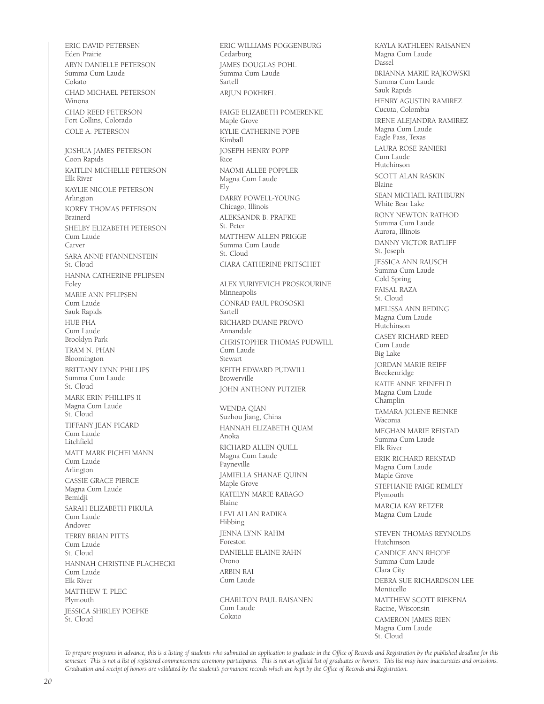ERIC DAVID PETERSEN Eden Prairie ARYN DANIELLE PETERSON Summa Cum Laude Cokato CHAD MICHAEL PETERSON Winona CHAD REED PETERSON Fort Collins, Colorado COLE A. PETERSON JOSHUA JAMES PETERSON Coon Rapids KAITLIN MICHELLE PETERSON Elk River KAYLIE NICOLE PETERSON Arlington KOREY THOMAS PETERSON Brainerd SHELBY ELIZABETH PETERSON Cum Laude Carver SARA ANNE PFANNENSTEIN St. Cloud HANNA CATHERINE PFLIPSEN Foley MARIE ANN PFLIPSEN Cum Laude Sauk Rapids HUE PHA Cum Laude Brooklyn Park TRAM N. PHAN Bloomington BRITTANY LYNN PHILLIPS Summa Cum Laude St. Cloud MARK ERIN PHILLIPS II Magna Cum Laude St. Cloud TIFFANY JEAN PICARD Cum Laude Litchfield MATT MARK PICHELMANN Cum Laude Arlington CASSIE GRACE PIERCE Magna Cum Laude Bemidji SARAH ELIZABETH PIKULA Cum Laude Andover TERRY BRIAN PITTS Cum Laude St. Cloud HANNAH CHRISTINE PLACHECKI Cum Laude Elk River MATTHEW T. PLEC Plymouth JESSICA SHIRLEY POEPKE St. Cloud

ERIC WILLIAMS POGGENBURG Cedarburg JAMES DOUGLAS POHL Summa Cum Laude Sartell ARIUN POKHREL PAIGE ELIZABETH POMERENKE Maple Grove KYLIE CATHERINE POPE Kimball JOSEPH HENRY POPP Rice NAOMI ALLEE POPPLER Magna Cum Laude Ely DARRY POWELL-YOUNG Chicago, Illinois ALEKSANDR B. PRAFKE St. Peter MATTHEW ALLEN PRIGGE Summa Cum Laude St. Cloud CIARA CATHERINE PRITSCHET ALEX YURIYEVICH PROSKOURINE Minneapolis CONRAD PAUL PROSOSKI Sartell RICHARD DUANE PROVO Annandale CHRISTOPHER THOMAS PUDWILL Cum Laude Stewart KEITH EDWARD PUDWILL Browerville JOHN ANTHONY PUTZIER WENDA QIAN Suzhou Jiang, China HANNAH ELIZABETH QUAM Anoka RICHARD ALLEN QUILL Magna Cum Laude Payneville JAMIELLA SHANAE QUINN Maple Grove KATELYN MARIE RABAGO Blaine LEVI ALLAN RADIKA Hibbing JENNA LYNN RAHM Foreston DANIELLE ELAINE RAHN Orono ARBIN RAI Cum Laude CHARLTON PAUL RAISANEN Cum Laude Cokato

KAYLA KATHLEEN RAISANEN Magna Cum Laude Dassel BRIANNA MARIE RAJKOWSKI Summa Cum Laude Sauk Rapids HENRY AGUSTIN RAMIREZ Cucuta, Colombia IRENE ALEJANDRA RAMIREZ Magna Cum Laude Eagle Pass, Texas LAURA ROSE RANIERI Cum Laude Hutchinson SCOTT ALAN RASKIN Blaine SEAN MICHAEL RATHBURN White Bear Lake RONY NEWTON RATHOD Summa Cum Laude Aurora, Illinois DANNY VICTOR RATLIFF St. Joseph JESSICA ANN RAUSCH Summa Cum Laude Cold Spring FAISAL RAZA St. Cloud MELISSA ANN REDING Magna Cum Laude Hutchinson CASEY RICHARD REED Cum Laude Big Lake JORDAN MARIE REIFF Breckenridge KATIE ANNE REINFELD Magna Cum Laude Champlin TAMARA JOLENE REINKE Waconia MEGHAN MARIE REISTAD Summa Cum Laude Elk River ERIK RICHARD REKSTAD Magna Cum Laude Maple Grove STEPHANIE PAIGE REMLEY Plymouth MARCIA KAY RETZER Magna Cum Laude STEVEN THOMAS REYNOLDS Hutchinson CANDICE ANN RHODE Summa Cum Laude Clara City DEBRA SUE RICHARDSON LEE Monticello MATTHEW SCOTT RIEKENA Racine, Wisconsin CAMERON JAMES RIEN Magna Cum Laude St. Cloud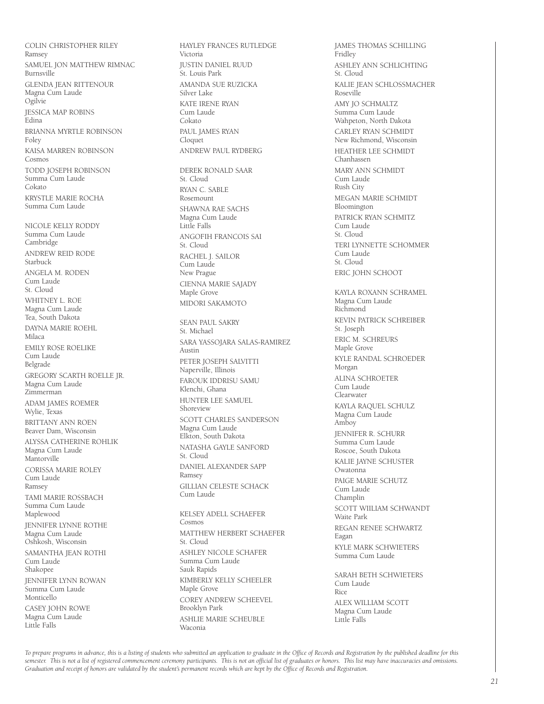COLIN CHRISTOPHER RILEY Ramsey SAMUEL JON MATTHEW RIMNAC Burnsville GLENDA JEAN RITTENOUR Magna Cum Laude Ogilvie JESSICA MAP ROBINS .<br>Edina BRIANNA MYRTLE ROBINSON Foley KAISA MARREN ROBINSON Cosmos TODD JOSEPH ROBINSON Summa Cum Laude Cokato KRYSTLE MARIE ROCHA Summa Cum Laude NICOLE KELLY RODDY Summa Cum Laude Cambridge ANDREW REID RODE Starbuck ANGELA M. RODEN Cum Laude St. Cloud WHITNEY L. ROE Magna Cum Laude Tea, South Dakota DAYNA MARIE ROEHL Milaca EMILY ROSE ROELIKE Cum Laude Belgrade GREGORY SCARTH ROELLE JR. Magna Cum Laude Zimmerman ADAM JAMES ROEMER Wylie, Texas BRITTANY ANN ROEN Beaver Dam, Wisconsin ALYSSA CATHERINE ROHLIK Magna Cum Laude **Mantorville** CORISSA MARIE ROLEY Cum Laude Ramsey TAMI MARIE ROSSBACH Summa Cum Laude Maplewood JENNIFER LYNNE ROTHE Magna Cum Laude Oshkosh, Wisconsin SAMANTHA JEAN ROTHI Cum Laude Shakopee JENNIFER LYNN ROWAN Summa Cum Laude Monticello CASEY JOHN ROWE Magna Cum Laude Little Falls

HAYLEY FRANCES RUTLEDGE Victoria JUSTIN DANIEL RUUD St. Louis Park AMANDA SUE RUZICKA Silver Lake KATE IRENE RYAN Cum Laude Cokato PAUL JAMES RYAN Cloquet ANDREW PAUL RYDBERG DEREK RONALD SAAR St. Cloud RYAN C. SABLE Rosemount SHAWNA RAE SACHS Magna Cum Laude Little Falls ANGOFIH FRANCOIS SAI St. Cloud RACHEL J. SAILOR Cum Laude New Prague CIENNA MARIE SAJADY Maple Grove MIDORI SAKAMOTO SEAN PAUL SAKRY St. Michael SARA YASSOJARA SALAS-RAMIREZ Austin PETER JOSEPH SALVITTI Naperville, Illinois FAROUK IDDRISU SAMU Klenchi, Ghana HUNTER LEE SAMUEL Shoreview SCOTT CHARLES SANDERSON Magna Cum Laude Elkton, South Dakota NATASHA GAYLE SANFORD St. Cloud DANIEL ALEXANDER SAPP Ramsey GILLIAN CELESTE SCHACK Cum Laude KELSEY ADELL SCHAEFER Cosmos MATTHEW HERBERT SCHAEFER St. Cloud ASHLEY NICOLE SCHAFER Summa Cum Laude Sauk Rapids KIMBERLY KELLY SCHEELER Maple Grove COREY ANDREW SCHEEVEL Brooklyn Park ASHLIE MARIE SCHEUBLE Waconia

JAMES THOMAS SCHILLING **Fridley** ASHLEY ANN SCHLICHTING St. Cloud KALIE JEAN SCHLOSSMACHER Roseville AMY JO SCHMALTZ Summa Cum Laude Wahpeton, North Dakota CARLEY RYAN SCHMIDT New Richmond, Wisconsin HEATHER LEE SCHMIDT Chanhassen MARY ANN SCHMIDT Cum Laude Rush City MEGAN MARIE SCHMIDT Bloomington PATRICK RYAN SCHMITZ Cum Laude St. Cloud TERI LYNNETTE SCHOMMER Cum Laude St. Cloud ERIC JOHN SCHOOT KAYLA ROXANN SCHRAMEL Magna Cum Laude Richmond KEVIN PATRICK SCHREIBER St. Joseph ERIC M. SCHREURS Maple Grove KYLE RANDAL SCHROEDER Morgan ALINA SCHROETER Cum Laude Clearwater KAYLA RAQUEL SCHULZ Magna Cum Laude Amboy JENNIFER R. SCHURR Summa Cum Laude Roscoe, South Dakota KALIE JAYNE SCHUSTER Owatonna PAIGE MARIE SCHUTZ Cum Laude Champlin SCOTT WIILIAM SCHWANDT Waite Park REGAN RENEE SCHWARTZ Eagan KYLE MARK SCHWIETERS Summa Cum Laude SARAH BETH SCHWIETERS Cum Laude Rice ALEX WILLIAM SCOTT Magna Cum Laude

Little Falls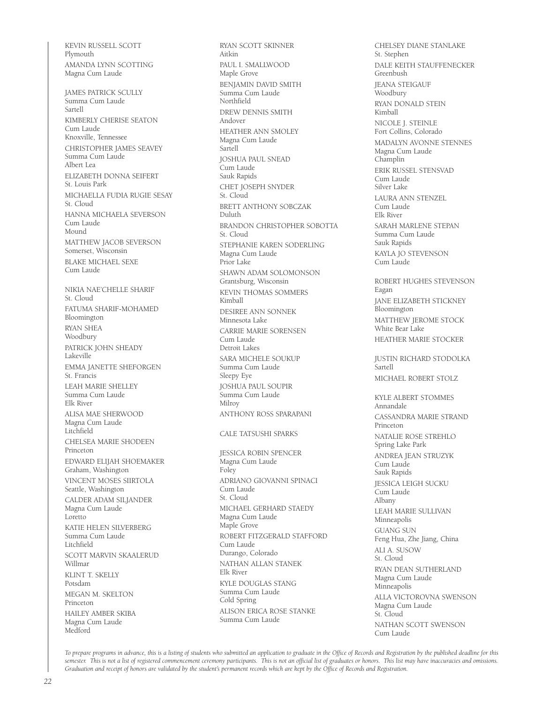KEVIN RUSSELL SCOTT Plymouth AMANDA LYNN SCOTTING Magna Cum Laude

JAMES PATRICK SCULLY Summa Cum Laude Sartell KIMBERLY CHERISE SEATON Cum Laude Knoxville, Tennessee CHRISTOPHER JAMES SEAVEY Summa Cum Laude Albert Lea ELIZABETH DONNA SEIFERT St. Louis Park MICHAELLA FUDIA RUGIE SESAY St. Cloud HANNA MICHAELA SEVERSON Cum Laude Mound MATTHEW JACOB SEVERSON Somerset, Wisconsin BLAKE MICHAEL SEXE Cum Laude NIKIA NAE'CHELLE SHARIF St. Cloud FATUMA SHARIF-MOHAMED Bloomington RYAN SHEA Woodbury PATRICK JOHN SHEADY Lakeville EMMA JANETTE SHEFORGEN St. Francis LEAH MARIE SHELLEY Summa Cum Laude Elk River ALISA MAE SHERWOOD Magna Cum Laude Litchfield CHELSEA MARIE SHODEEN Princeton EDWARD ELIJAH SHOEMAKER Graham, Washington VINCENT MOSES SIIRTOLA Seattle, Washington CALDER ADAM SILJANDER Magna Cum Laude Loretto KATIE HELEN SILVERBERG Summa Cum Laude Litchfield

SCOTT MARVIN SKAALERUD

Willmar

Princeton

KLINT T. SKELLY Potsdam

MEGAN M. SKELTON

HAILEY AMBER SKIBA Magna Cum Laude Medford

Aitkin PAUL I. SMALLWOOD Maple Grove BENJAMIN DAVID SMITH Summa Cum Laude Northfield DREW DENNIS SMITH Andover HEATHER ANN SMOLEY Magna Cum Laude Sartell JOSHUA PAUL SNEAD Cum Laude Sauk Rapids CHET JOSEPH SNYDER St. Cloud BRETT ANTHONY SOBCZAK Duluth BRANDON CHRISTOPHER SOBOTTA St. Cloud STEPHANIE KAREN SODERLING Magna Cum Laude Prior Lake SHAWN ADAM SOLOMONSON Grantsburg, Wisconsin KEVIN THOMAS SOMMERS Kimball DESIREE ANN SONNEK Minnesota Lake CARRIE MARIE SORENSEN Cum Laude Detroit Lakes SARA MICHELE SOUKUP Summa Cum Laude Sleepy Eye JOSHUA PAUL SOUPIR Summa Cum Laude Milroy ANTHONY ROSS SPARAPANI CALE TATSUSHI SPARKS JESSICA ROBIN SPENCER Magna Cum Laude Foley ADRIANO GIOVANNI SPINACI Cum Laude St. Cloud MICHAEL GERHARD STAEDY Magna Cum Laude Maple Grove ROBERT FITZGERALD STAFFORD Cum Laude Durango, Colorado NATHAN ALLAN STANEK Elk River KYLE DOUGLAS STANG Summa Cum Laude

RYAN SCOTT SKINNER

CHELSEY DIANE STANLAKE St. Stephen DALE KEITH STAUFFENECKER Greenbush JEANA STEIGAUF Woodbury RYAN DONALD STEIN Kimball NICOLE J. STEINLE Fort Collins, Colorado MADALYN AVONNE STENNES Magna Cum Laude Champlin ERIK RUSSEL STENSVAD Cum Laude Silver Lake LAURA ANN STENZEL Cum Laude Elk River SARAH MARLENE STEPAN Summa Cum Laude Sauk Rapids KAYLA JO STEVENSON Cum Laude ROBERT HUGHES STEVENSON Eagan JANE ELIZABETH STICKNEY Bloomington MATTHEW JEROME STOCK White Bear Lake HEATHER MARIE STOCKER JUSTIN RICHARD STODOLKA Sartell MICHAEL ROBERT STOLZ KYLE ALBERT STOMMES Annandale CASSANDRA MARIE STRAND Princeton NATALIE ROSE STREHLO Spring Lake Park ANDREA JEAN STRUZYK Cum Laude Sauk Rapids JESSICA LEIGH SUCKU Cum Laude Albany LEAH MARIE SULLIVAN Minneapolis GUANG SUN Feng Hua, Zhe Jiang, China ALI A. SUSOW St. Cloud RYAN DEAN SUTHERLAND Magna Cum Laude Minneapolis ALLA VICTOROVNA SWENSON Magna Cum Laude St. Cloud NATHAN SCOTT SWENSON Cum Laude

*To prepare programs in advance, this is a listing of students who submitted an application to graduate in the Office of Records and Registration by the published deadline for this semester. This is not a list of registered commencement ceremony participants. This is not an official list of graduates or honors. This list may have inaccuracies and omissions. Graduation and receipt of honors are validated by the student's permanent records which are kept by the Office of Records and Registration.*

ALISON ERICA ROSE STANKE

Cold Spring

Summa Cum Laude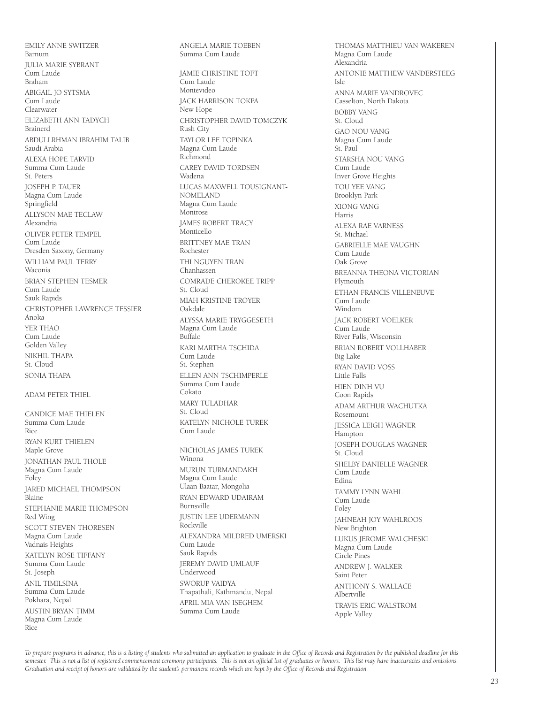EMILY ANNE SWITZER Barnum JULIA MARIE SYBRANT Cum Laude Braham ABIGAIL JO SYTSMA Cum Laude Clearwater ELIZABETH ANN TADYCH Brainerd ABDULLRHMAN IBRAHIM TALIB Saudi Arabia ALEXA HOPE TARVID Summa Cum Laude St. Peters JOSEPH P. TAUER Magna Cum Laude Springfield ALLYSON MAE TECLAW Alexandria OLIVER PETER TEMPEL Cum Laude Dresden Saxony, Germany WILLIAM PAUL TERRY Waconia BRIAN STEPHEN TESMER Cum Laude Sauk Rapids CHRISTOPHER LAWRENCE TESSIER Anoka YER THAO Cum Laude Golden Valley NIKHIL THAPA St. Cloud SONIA THAPA

#### ADAM PETER THIEL

CANDICE MAF THIFLEN Summa Cum Laude Rice RYAN KURT THIELEN Maple Grove JONATHAN PAUL THOLE Magna Cum Laude Foley JARED MICHAEL THOMPSON Blaine STEPHANIE MARIE THOMPSON Red Wing SCOTT STEVEN THORESEN Magna Cum Laude Vadnais Heights KATELYN ROSE TIFFANY Summa Cum Laude St. Joseph ANIL TIMILSINA Summa Cum Laude Pokhara, Nepal AUSTIN BRYAN TIMM Magna Cum Laude Rice

ANGELA MARIE TOEBEN Summa Cum Laude JAMIE CHRISTINE TOFT Cum Laude Montevideo JACK HARRISON TOKPA New Hope CHRISTOPHER DAVID TOMCZYK Rush City TAYLOR LEE TOPINKA Magna Cum Laude Richmond CAREY DAVID TORDSEN Wadena LUCAS MAXWELL TOUSIGNANT-NOMELAND Magna Cum Laude Montrose JAMES ROBERT TRACY Monticello BRITTNEY MAE TRAN Rochester THI NGUYEN TRAN Chanhassen COMRADE CHEROKEE TRIPP St. Cloud MIAH KRISTINE TROYER Oakdale ALYSSA MARIE TRYGGESETH Magna Cum Laude Buffalo KARI MARTHA TSCHIDA Cum Laude St. Stephen ELLEN ANN TSCHIMPERLE Summa Cum Laude Cokato MARY TULADHAR St. Cloud KATELYN NICHOLE TUREK Cum Laude NICHOLAS JAMES TUREK Winona MURUN TURMANDAKH Magna Cum Laude Ulaan Baatar, Mongolia RYAN EDWARD UDAIRAM Burnsville JUSTIN LEE UDERMANN Rockville ALEXANDRA MILDRED UMERSKI Cum Laude Sauk Rapids JEREMY DAVID UMLAUF Underwood SWORUP VAIDYA Thapathali, Kathmandu, Nepal APRIL MIA VAN ISEGHEM

THOMAS MATTHIEU VAN WAKEREN Magna Cum Laude Alexandria ANTONIE MATTHEW VANDERSTEEG Isle ANNA MARIE VANDROVEC Casselton, North Dakota BOBBY VANG St. Cloud GAO NOU VANG Magna Cum Laude St. Paul STARSHA NOU VANG Cum Laude Inver Grove Heights TOU YEE VANG Brooklyn Park XIONG VANG Harris ALEXA RAE VARNESS St. Michael GABRIELLE MAE VAUGHN Cum Laude Oak Grove BREANNA THEONA VICTORIAN Plymouth ETHAN FRANCIS VILLENEUVE Cum Laude Windom JACK ROBERT VOELKER Cum Laude River Falls, Wisconsin BRIAN ROBERT VOLLHABER Big Lake RYAN DAVID VOSS Little Falls HIEN DINH VU Coon Rapids ADAM ARTHUR WACHUTKA Rosemount JESSICA LEIGH WAGNER Hampton JOSEPH DOUGLAS WAGNER St. Cloud SHELBY DANIELLE WAGNER Cum Laude Edina TAMMY LYNN WAHL Cum Laude Foley JAHNEAH JOY WAHLROOS New Brighton LUKUS JEROME WALCHESKI Magna Cum Laude Circle Pines ANDREW J. WALKER Saint Peter ANTHONY S. WALLACE Albertville TRAVIS ERIC WALSTROM Apple Valley

*To prepare programs in advance, this is a listing of students who submitted an application to graduate in the Office of Records and Registration by the published deadline for this*  semester. This is not a list of registered commencement ceremony participants. This is not an official list of graduates or honors. This list may have inaccuracies and omissions. *Graduation and receipt of honors are validated by the student's permanent records which are kept by the Office of Records and Registration.*

Summa Cum Laude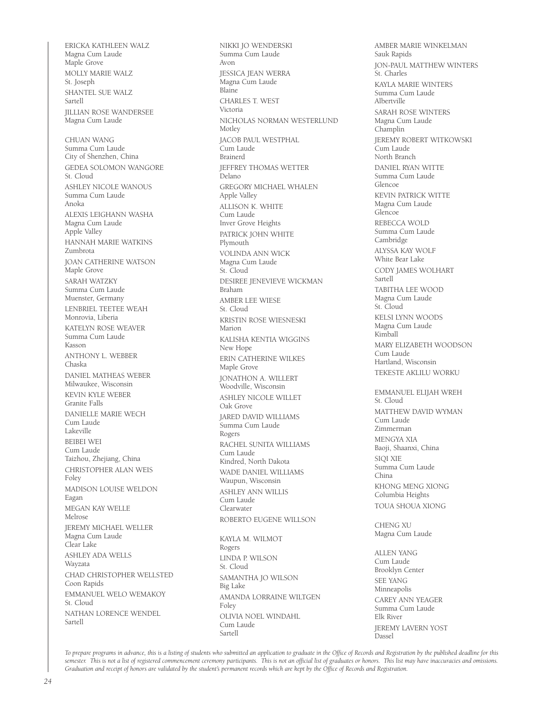ERICKA KATHLEEN WALZ Magna Cum Laude Maple Grove MOLLY MARIE WALZ St. Joseph SHANTEL SUE WALZ Sartell JILLIAN ROSE WANDERSEE Magna Cum Laude CHUAN WANG Summa Cum Laude City of Shenzhen, China GEDEA SOLOMON WANGORE St. Cloud ASHLEY NICOLE WANOUS Summa Cum Laude Anoka ALEXIS LEIGHANN WASHA Magna Cum Laude Apple Valley HANNAH MARIE WATKINS Zumbrota JOAN CATHERINE WATSON Maple Grove SARAH WATZKY Summa Cum Laude Muenster, Germany LENBRIEL TEETEE WEAH Monrovia, Liberia KATELYN ROSE WEAVER Summa Cum Laude Kasson ANTHONY L. WEBBER Chaska DANIEL MATHEAS WEBER Milwaukee, Wisconsin KEVIN KYLE WEBER Granite Falls DANIELLE MARIE WECH Cum Laude Lakeville BEIBEI WEI Cum Laude Taizhou, Zhejiang, China CHRISTOPHER ALAN WEIS Foley MADISON LOUISE WELDON Eagan MEGAN KAY WELLE Melrose JEREMY MICHAEL WELLER Magna Cum Laude Clear Lake ASHLEY ADA WELLS Wayzata CHAD CHRISTOPHER WELLSTED Coon Rapids EMMANUEL WELO WEMAKOY St. Cloud NATHAN LORENCE WENDEL Sartell

NIKKI JO WENDERSKI Summa Cum Laude Avon JESSICA JEAN WERRA Magna Cum Laude Blaine CHARLES T. WEST Victoria NICHOLAS NORMAN WESTERLUND Motley JACOB PAUL WESTPHAL Cum Laude Brainerd JEFFREY THOMAS WETTER Delano GREGORY MICHAEL WHALEN Apple Valley ALLISON K. WHITE Cum Laude Inver Grove Heights PATRICK JOHN WHITE Plymouth VOLINDA ANN WICK Magna Cum Laude St. Cloud DESIREE JENEVIEVE WICKMAN Braham AMBER LEE WIESE St. Cloud KRISTIN ROSE WIESNESKI Marion KALISHA KENTIA WIGGINS New Hope ERIN CATHERINE WILKES Maple Grove JONATHON A. WILLERT Woodville, Wisconsin ASHLEY NICOLE WILLET Oak Grove JARED DAVID WILLIAMS Summa Cum Laude Rogers RACHEL SUNITA WILLIAMS Cum Laude Kindred, North Dakota WADE DANIEL WILLIAMS Waupun, Wisconsin ASHLEY ANN WILLIS Cum Laude Clearwater ROBERTO EUGENE WILLSON KAYLA M. WILMOT Rogers LINDA P. WILSON St. Cloud SAMANTHA JO WILSON Big Lake AMANDA LORRAINE WILTGEN Foley OLIVIA NOEL WINDAHL Cum Laude

AMBER MARIE WINKELMAN Sauk Rapids JON-PAUL MATTHEW WINTERS St. Charles KAYLA MARIE WINTERS Summa Cum Laude Albertville SARAH ROSE WINTERS Magna Cum Laude Champlin JEREMY ROBERT WITKOWSKI Cum Laude North Branch DANIEL RYAN WITTE Summa Cum Laude Glencoe KEVIN PATRICK WITTE Magna Cum Laude Glencoe REBECCA WOLD Summa Cum Laude Cambridge ALYSSA KAY WOLF White Bear Lake CODY JAMES WOLHART Sartell TABITHA LEE WOOD Magna Cum Laude St. Cloud KELSI LYNN WOODS Magna Cum Laude Kimball MARY ELIZABETH WOODSON Cum Laude Hartland, Wisconsin TEKESTE AKLILU WORKU EMMANUEL ELIJAH WREH St. Cloud MATTHEW DAVID WYMAN Cum Laude Zimmerman MENGYA XIA Baoji, Shaanxi, China SIQI XIE Summa Cum Laude China KHONG MENG XIONG Columbia Heights TOUA SHOUA XIONG CHENG XU Magna Cum Laude

ALLEN YANG Cum Laude Brooklyn Center SEE YANG Minneapolis CAREY ANN YEAGER Summa Cum Laude Elk River JEREMY LAVERN YOST Dassel

*To prepare programs in advance, this is a listing of students who submitted an application to graduate in the Office of Records and Registration by the published deadline for this semester. This is not a list of registered commencement ceremony participants. This is not an official list of graduates or honors. This list may have inaccuracies and omissions. Graduation and receipt of honors are validated by the student's permanent records which are kept by the Office of Records and Registration.*

Sartell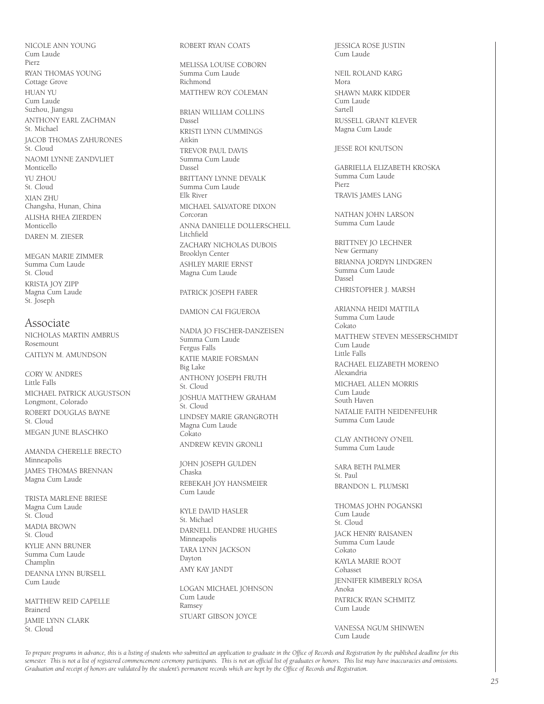NICOLE ANN YOUNG Cum Laude Pierz RYAN THOMAS YOUNG Cottage Grove HUAN YU Cum Laude Suzhou, Jiangsu ANTHONY EARL ZACHMAN St. Michael JACOB THOMAS ZAHURONES St. Cloud NAOMI LYNNE ZANDVLIET Monticello YU ZHOU St. Cloud XIAN ZHU Changsha, Hunan, China ALISHA RHEA ZIERDEN Monticello DAREN M. ZIESER

MEGAN MARIE ZIMMER Summa Cum Laude St. Cloud KRISTA JOY ZIPP Magna Cum Laude St. Joseph

Associate NICHOLAS MARTIN AMBRUS Rosemount CAITLYN M. AMUNDSON

CORY W. ANDRES Little Falls MICHAEL PATRICK AUGUSTSON Longmont, Colorado ROBERT DOUGLAS BAYNE St. Cloud MEGAN JUNE BLASCHKO

AMANDA CHERELLE BRECTO Minneapolis JAMES THOMAS BRENNAN Magna Cum Laude

TRISTA MARLENE BRIESE Magna Cum Laude St. Cloud MADIA BROWN St. Cloud KYLIE ANN BRUNER Summa Cum Laude Champlin DEANNA LYNN BURSELL Cum Laude

MATTHEW REID CAPELLE Brainerd JAMIE LYNN CLARK St. Cloud

#### ROBERT RYAN COATS

MELISSA LOUISE COBORN Summa Cum Laude Richmond MATTHEW ROY COLEMAN

BRIAN WILLIAM COLLINS Dassel KRISTI LYNN CUMMINGS Aitkin TREVOR PAUL DAVIS Summa Cum Laude Dassel BRITTANY LYNNE DEVALK Summa Cum Laude Elk River MICHAEL SALVATORE DIXON Corcoran ANNA DANIELLE DOLLERSCHELL Litchfield ZACHARY NICHOLAS DUBOIS Brooklyn Center ASHLEY MARIE ERNST Magna Cum Laude

PATRICK JOSEPH FABER

#### DAMION CAI FIGUEROA

NADIA JO FISCHER-DANZEISEN Summa Cum Laude Fergus Falls KATIE MARIE FORSMAN Big Lake ANTHONY JOSEPH FRUTH St. Cloud JOSHUA MATTHEW GRAHAM St. Cloud LINDSEY MARIE GRANGROTH Magna Cum Laude Cokato ANDREW KEVIN GRONLI

JOHN JOSEPH GULDEN Chaska REBEKAH JOY HANSMEIER Cum Laude

KYLE DAVID HASLER St. Michael DARNELL DEANDRE HUGHES Minneapolis TARA LYNN JACKSON Dayton AMY KAY JANDT

LOGAN MICHAEL JOHNSON Cum Laude Ramsey STUART GIBSON JOYCE

JESSICA ROSE JUSTIN Cum Laude

NEIL ROLAND KARG Mora SHAWN MARK KIDDER Cum Laude Sartell RUSSELL GRANT KLEVER Magna Cum Laude

JESSE ROI KNUTSON

GABRIELLA ELIZABETH KROSKA Summa Cum Laude Pierz TRAVIS JAMES LANG

NATHAN JOHN LARSON Summa Cum Laude

BRITTNEY JO LECHNER New Germany BRIANNA JORDYN LINDGREN Summa Cum Laude Dassel CHRISTOPHER J. MARSH

ARIANNA HEIDI MATTILA Summa Cum Laude Colzato MATTHEW STEVEN MESSERSCHMIDT Cum Laude Little Falls RACHAEL ELIZABETH MORENO Alexandria MICHAEL ALLEN MORRIS Cum Laude South Haven NATALIE FAITH NEIDENFEUHR Summa Cum Laude

CLAY ANTHONY O'NEIL Summa Cum Laude

SARA BETH PALMER St. Paul BRANDON L. PLUMSKI

THOMAS JOHN POGANSKI Cum Laude St. Cloud JACK HENRY RAISANEN Summa Cum Laude Cokato KAYLA MARIE ROOT Cohasset JENNIFER KIMBERLY ROSA Anoka PATRICK RYAN SCHMITZ Cum Laude

VANESSA NGUM SHINWEN Cum Laude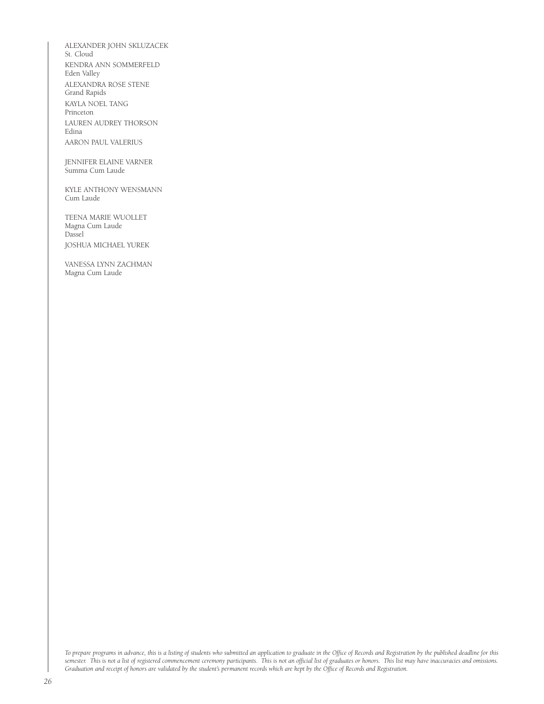ALEXANDER JOHN SKLUZACEK St. Cloud KENDRA ANN SOMMERFELD Eden Valley ALEXANDRA ROSE STENE Grand Rapids KAYLA NOEL TANG Princeton LAUREN AUDREY THORSON Edina AARON PAUL VALERIUS

JENNIFER ELAINE VARNER Summa Cum Laude

KYLE ANTHONY WENSMANN Cum Laude

TEENA MARIE WUOLLET Magna Cum Laude Dassel JOSHUA MICHAEL YUREK

VANESSA LYNN ZACHMAN Magna Cum Laude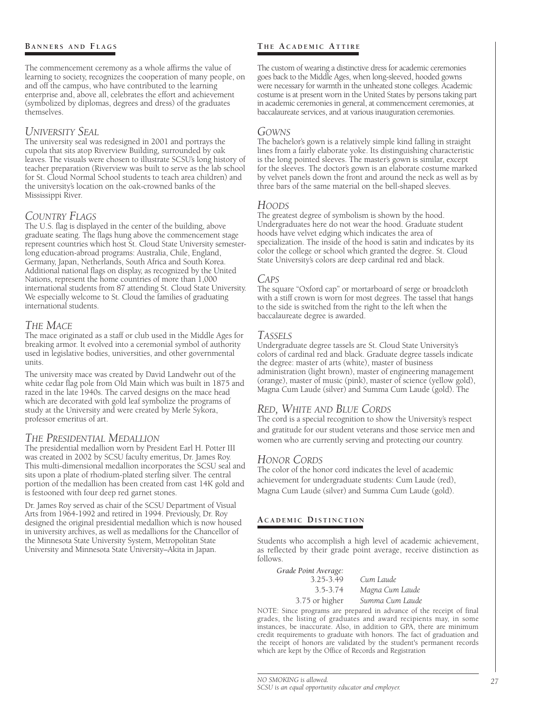#### **B a n n e r s a n d Fl a g s**

The commencement ceremony as a whole affirms the value of learning to society, recognizes the cooperation of many people, on and off the campus, who have contributed to the learning enterprise and, above all, celebrates the effort and achievement (symbolized by diplomas, degrees and dress) of the graduates themselves.

#### *University Seal*

The university seal was redesigned in 2001 and portrays the cupola that sits atop Riverview Building, surrounded by oak leaves. The visuals were chosen to illustrate SCSU's long history of teacher preparation (Riverview was built to serve as the lab school for St. Cloud Normal School students to teach area children) and the university's location on the oak-crowned banks of the Mississippi River.

#### *Country Flags*

The U.S. flag is displayed in the center of the building, above graduate seating. The flags hung above the commencement stage represent countries which host St. Cloud State University semesterlong education-abroad programs: Australia, Chile, England, Germany, Japan, Netherlands, South Africa and South Korea. Additional national flags on display, as recognized by the United Nations, represent the home countries of more than 1,000 international students from 87 attending St. Cloud State University. We especially welcome to St. Cloud the families of graduating international students.

#### *The Mace*

The mace originated as a staff or club used in the Middle Ages for breaking armor. It evolved into a ceremonial symbol of authority used in legislative bodies, universities, and other governmental units.

The university mace was created by David Landwehr out of the white cedar flag pole from Old Main which was built in 1875 and razed in the late 1940s. The carved designs on the mace head which are decorated with gold leaf symbolize the programs of study at the University and were created by Merle Sykora, professor emeritus of art.

#### *The Presidential Medallion*

The presidential medallion worn by President Earl H. Potter III was created in 2002 by SCSU faculty emeritus, Dr. James Roy. This multi-dimensional medallion incorporates the SCSU seal and sits upon a plate of rhodium-plated sterling silver. The central portion of the medallion has been created from cast 14K gold and is festooned with four deep red garnet stones.

Dr. James Roy served as chair of the SCSU Department of Visual Arts from 1964-1992 and retired in 1994. Previously, Dr. Roy designed the original presidential medallion which is now housed in university archives, as well as medallions for the Chancellor of the Minnesota State University System, Metropolitan State University and Minnesota State University–Akita in Japan.

#### **T h e A c a d e m i c At t i r e**

The custom of wearing a distinctive dress for academic ceremonies goes back to the Middle Ages, when long-sleeved, hooded gowns were necessary for warmth in the unheated stone colleges. Academic costume is at present worn in the United States by persons taking part in academic ceremonies in general, at commencement ceremonies, at baccalaureate services, and at various inauguration ceremonies.

#### *Gowns*

The bachelor's gown is a relatively simple kind falling in straight lines from a fairly elaborate yoke. Its distinguishing characteristic is the long pointed sleeves. The master's gown is similar, except for the sleeves. The doctor's gown is an elaborate costume marked by velvet panels down the front and around the neck as well as by three bars of the same material on the bell-shaped sleeves.

#### *Hoods*

The greatest degree of symbolism is shown by the hood. Undergraduates here do not wear the hood. Graduate student hoods have velvet edging which indicates the area of specialization. The inside of the hood is satin and indicates by its color the college or school which granted the degree. St. Cloud State University's colors are deep cardinal red and black.

#### *Caps*

The square "Oxford cap" or mortarboard of serge or broadcloth with a stiff crown is worn for most degrees. The tassel that hangs to the side is switched from the right to the left when the baccalaureate degree is awarded.

#### *Tassels*

Undergraduate degree tassels are St. Cloud State University's colors of cardinal red and black. Graduate degree tassels indicate the degree: master of arts (white), master of business administration (light brown), master of engineering management (orange), master of music (pink), master of science (yellow gold), Magna Cum Laude (silver) and Summa Cum Laude (gold). The

#### *Red, White and Blue Cords*

The cord is a special recognition to show the University's respect and gratitude for our student veterans and those service men and women who are currently serving and protecting our country.

#### *Honor Cords*

The color of the honor cord indicates the level of academic achievement for undergraduate students: Cum Laude (red), Magna Cum Laude (silver) and Summa Cum Laude (gold).

#### **A c a d e m i c Di s t i n c t i o n**

Students who accomplish a high level of academic achievement, as reflected by their grade point average, receive distinction as follows.

| Grade Point Average: |                 |
|----------------------|-----------------|
| 3.25-3.49            | Cum Laude       |
| 3.5-3.74             | Magna Cum Laude |
| 3.75 or higher       | Summa Cum Laude |

NOTE: Since programs are prepared in advance of the receipt of final grades, the listing of graduates and award recipients may, in some instances, be inaccurate. Also, in addition to GPA, there are minimum credit requirements to graduate with honors. The fact of graduation and the receipt of honors are validated by the student's permanent records which are kept by the Office of Records and Registration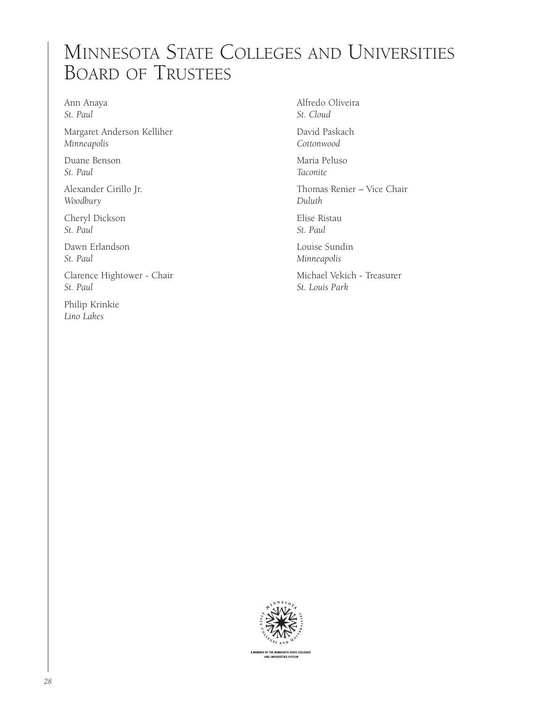## Minnesota State Colleges and Universities Board of Trustees

Ann Anaya *St. Paul*

Margaret Anderson Kelliher *Minneapolis*

Duane Benson *St. Paul*

Alexander Cirillo Jr. *Woodbury*

Cheryl Dickson *St. Paul*

Dawn Erlandson *St. Paul*

Clarence Hightower - Chair *St. Paul*

Philip Krinkie *Lino Lakes*

Alfredo Oliveira *St. Cloud*

David Paskach *Cottonwood*

Maria Peluso *Taconite*

Thomas Renier – Vice Chair *Duluth*

Elise Ristau *St. Paul* 

Louise Sundin *Minneapolis*

Michael Vekich - Treasurer *St. Louis Park*

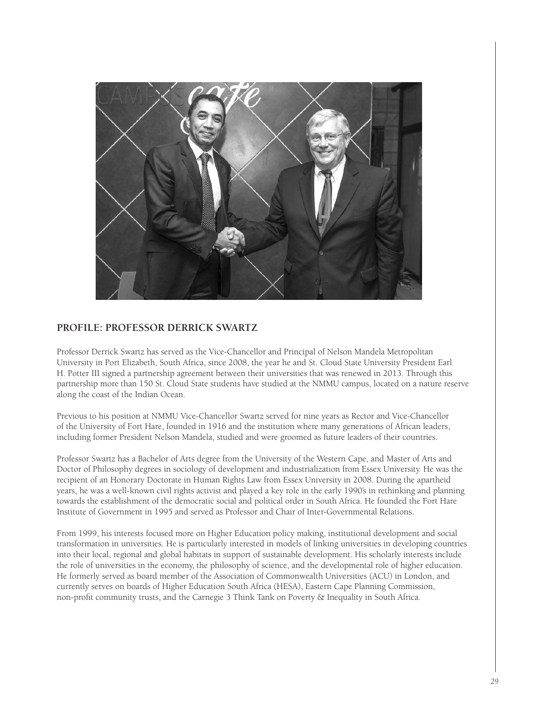

#### **PROFILE: PROFESSOR DERRICK SWARTZ**

Professor Derrick Swartz has served as the Vice-Chancellor and Principal of Nelson Mandela Metropolitan University in Port Elizabeth, South Africa, since 2008, the year he and St. Cloud State University President Earl H. Potter III signed a partnership agreement between their universities that was renewed in 2013. Through this partnership more than 150 St. Cloud State students have studied at the NMMU campus, located on a nature reserve along the coast of the Indian Ocean.

Previous to his position at NMMU Vice-Chancellor Swartz served for nine years as Rector and Vice-Chancellor of the University of Fort Hare, founded in 1916 and the institution where many generations of African leaders, including former President Nelson Mandela, studied and were groomed as future leaders of their countries.

Professor Swartz has a Bachelor of Arts degree from the University of the Western Cape, and Master of Arts and Doctor of Philosophy degrees in sociology of development and industrialization from Essex University. He was the recipient of an Honorary Doctorate in Human Rights Law from Essex University in 2008. During the apartheid years, he was a well-known civil rights activist and played a key role in the early 1990's in rethinking and planning towards the establishment of the democratic social and political order in South Africa. He founded the Fort Hare Institute of Government in 1995 and served as Professor and Chair of Inter-Governmental Relations.

From 1999, his interests focused more on Higher Education policy making, institutional development and social transformation in universities. He is particularly interested in models of linking universities in developing countries into their local, regional and global habitats in support of sustainable development. His scholarly interests include the role of universities in the economy, the philosophy of science, and the developmental role of higher education. He formerly served as board member of the Association of Commonwealth Universities (ACU) in London, and currently serves on boards of Higher Education South Africa (HESA), Eastern Cape Planning Commission, non-profit community trusts, and the Carnegie 3 Think Tank on Poverty & Inequality in South Africa.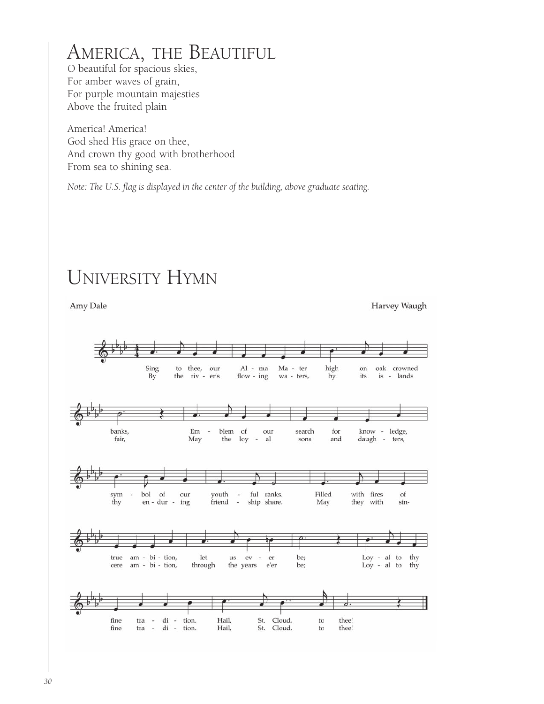## America, the Beautiful

O beautiful for spacious skies, For amber waves of grain, For purple mountain majesties Above the fruited plain

America! America! God shed His grace on thee, And crown thy good with brotherhood From sea to shining sea.

*Note: The U.S. flag is displayed in the center of the building, above graduate seating.*

## University Hymn

Amy Dale

Harvey Waugh